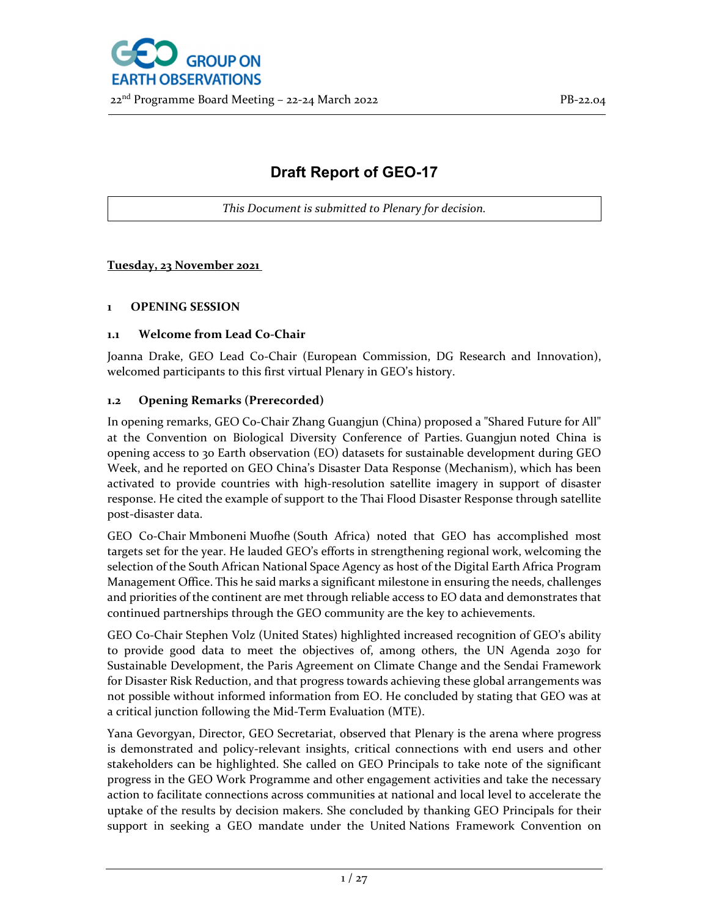

# **Draft Report of GEO-17**

*This Document is submitted to Plenary for decision.*

# **Tuesday, 23 November 2021**

## **1 OPENING SESSION**

## **1.1 Welcome from Lead Co‐Chair**

Joanna Drake, GEO Lead Co‐Chair (European Commission, DG Research and Innovation), welcomed participants to this first virtual Plenary in GEO's history.

## **1.2 Opening Remarks (Prerecorded)**

In opening remarks, GEO Co‐Chair Zhang Guangjun (China) proposed a "Shared Future for All" at the Convention on Biological Diversity Conference of Parties. Guangjun noted China is opening access to 30 Earth observation (EO) datasets for sustainable development during GEO Week, and he reported on GEO China's Disaster Data Response (Mechanism), which has been activated to provide countries with high‐resolution satellite imagery in support of disaster response. He cited the example of support to the Thai Flood Disaster Response through satellite post‐disaster data.

GEO Co‐Chair Mmboneni Muofhe (South Africa) noted that GEO has accomplished most targets set for the year. He lauded GEO's efforts in strengthening regional work, welcoming the selection of the South African National Space Agency as host of the Digital Earth Africa Program Management Office. This he said marks a significant milestone in ensuring the needs, challenges and priorities of the continent are met through reliable access to EO data and demonstrates that continued partnerships through the GEO community are the key to achievements.

GEO Co‐Chair Stephen Volz (United States) highlighted increased recognition of GEO's ability to provide good data to meet the objectives of, among others, the UN Agenda 2030 for Sustainable Development, the Paris Agreement on Climate Change and the Sendai Framework for Disaster Risk Reduction, and that progress towards achieving these global arrangements was not possible without informed information from EO. He concluded by stating that GEO was at a critical junction following the Mid‐Term Evaluation (MTE).

Yana Gevorgyan, Director, GEO Secretariat, observed that Plenary is the arena where progress is demonstrated and policy-relevant insights, critical connections with end users and other stakeholders can be highlighted. She called on GEO Principals to take note of the significant progress in the GEO Work Programme and other engagement activities and take the necessary action to facilitate connections across communities at national and local level to accelerate the uptake of the results by decision makers. She concluded by thanking GEO Principals for their support in seeking a GEO mandate under the United Nations Framework Convention on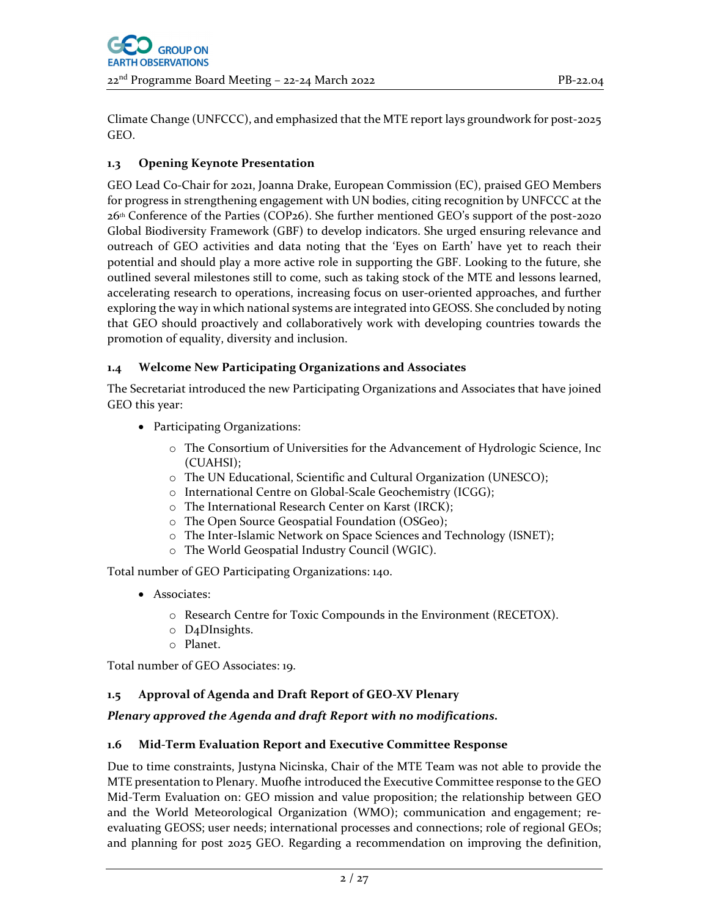Climate Change (UNFCCC), and emphasized that the MTE report lays groundwork for post‐2025 GEO.

# **1.3 Opening Keynote Presentation**

GEO Lead Co-Chair for 2021, Joanna Drake, European Commission (EC), praised GEO Members for progress in strengthening engagement with UN bodies, citing recognition by UNFCCC at the 26th Conference of the Parties (COP26). She further mentioned GEO's support of the post‐2020 Global Biodiversity Framework (GBF) to develop indicators. She urged ensuring relevance and outreach of GEO activities and data noting that the 'Eyes on Earth' have yet to reach their potential and should play a more active role in supporting the GBF. Looking to the future, she outlined several milestones still to come, such as taking stock of the MTE and lessons learned, accelerating research to operations, increasing focus on user-oriented approaches, and further exploring the way in which national systems are integrated into GEOSS. She concluded by noting that GEO should proactively and collaboratively work with developing countries towards the promotion of equality, diversity and inclusion.

# **1.4 Welcome New Participating Organizations and Associates**

The Secretariat introduced the new Participating Organizations and Associates that have joined GEO this year:

- Participating Organizations:
	- o The Consortium of Universities for the Advancement of Hydrologic Science, Inc (CUAHSI);
	- o The UN Educational, Scientific and Cultural Organization (UNESCO);
	- o International Centre on Global‐Scale Geochemistry (ICGG);
	- o The International Research Center on Karst (IRCK);
	- o The Open Source Geospatial Foundation (OSGeo);
	- o The Inter‐Islamic Network on Space Sciences and Technology (ISNET);
	- o The World Geospatial Industry Council (WGIC).

Total number of GEO Participating Organizations: 140.

- Associates:
	- o Research Centre for Toxic Compounds in the Environment (RECETOX).
	- o D4DInsights.
	- o Planet.

Total number of GEO Associates: 19.

## **1.5 Approval of Agenda and Draft Report of GEO‐XV Plenary**

## *Plenary approved the Agenda and draft Report with no modifications.*

## **1.6 Mid‐Term Evaluation Report and Executive Committee Response**

Due to time constraints, Justyna Nicinska, Chair of the MTE Team was not able to provide the MTE presentation to Plenary. Muofhe introduced the Executive Committee response to the GEO Mid‐Term Evaluation on: GEO mission and value proposition; the relationship between GEO and the World Meteorological Organization (WMO); communication and engagement; re‐ evaluating GEOSS; user needs; international processes and connections; role of regional GEOs; and planning for post 2025 GEO. Regarding a recommendation on improving the definition,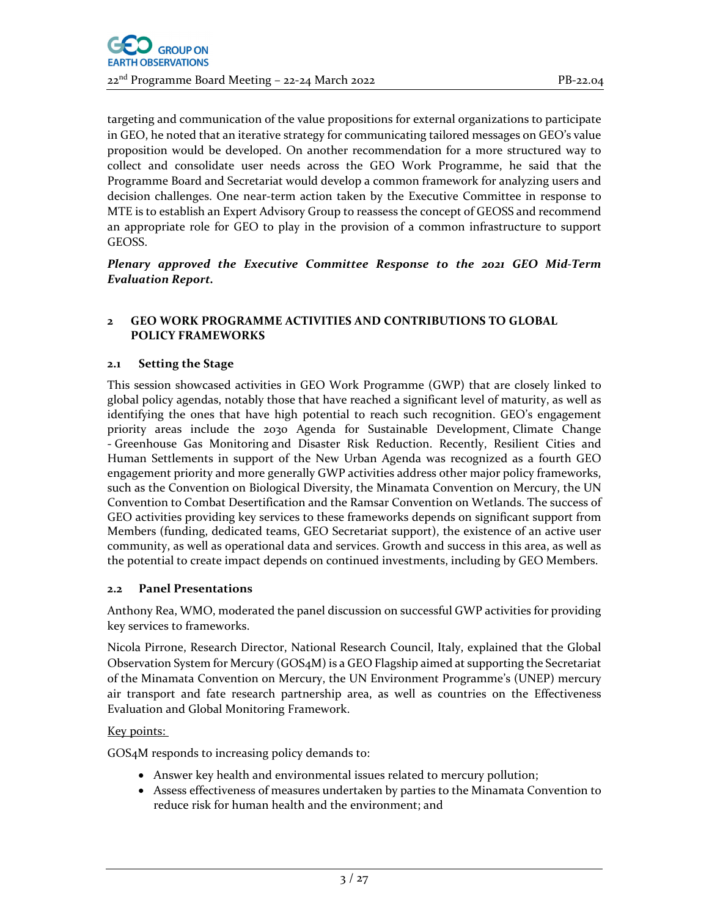targeting and communication of the value propositions for external organizations to participate in GEO, he noted that an iterative strategy for communicating tailored messages on GEO's value proposition would be developed. On another recommendation for a more structured way to collect and consolidate user needs across the GEO Work Programme, he said that the Programme Board and Secretariat would develop a common framework for analyzing users and decision challenges. One near-term action taken by the Executive Committee in response to MTE is to establish an Expert Advisory Group to reassess the concept of GEOSS and recommend an appropriate role for GEO to play in the provision of a common infrastructure to support GEOSS.

*Plenary approved the Executive Committee Response to the 2021 GEO Mid‐Term Evaluation Report.*

#### **2 GEO WORK PROGRAMME ACTIVITIES AND CONTRIBUTIONS TO GLOBAL POLICY FRAMEWORKS**

#### **2.1 Setting the Stage**

This session showcased activities in GEO Work Programme (GWP) that are closely linked to global policy agendas, notably those that have reached a significant level of maturity, as well as identifying the ones that have high potential to reach such recognition. GEO's engagement priority areas include the 2030 Agenda for Sustainable Development, Climate Change ‐ Greenhouse Gas Monitoring and Disaster Risk Reduction. Recently, Resilient Cities and Human Settlements in support of the New Urban Agenda was recognized as a fourth GEO engagement priority and more generally GWP activities address other major policy frameworks, such as the Convention on Biological Diversity, the Minamata Convention on Mercury, the UN Convention to Combat Desertification and the Ramsar Convention on Wetlands. The success of GEO activities providing key services to these frameworks depends on significant support from Members (funding, dedicated teams, GEO Secretariat support), the existence of an active user community, as well as operational data and services. Growth and success in this area, as well as the potential to create impact depends on continued investments, including by GEO Members.

#### **2.2 Panel Presentations**

Anthony Rea, WMO, moderated the panel discussion on successful GWP activities for providing key services to frameworks.

Nicola Pirrone, Research Director, National Research Council, Italy, explained that the Global Observation System for Mercury (GOS4M) is a GEO Flagship aimed at supporting the Secretariat of the Minamata Convention on Mercury, the UN Environment Programme's (UNEP) mercury air transport and fate research partnership area, as well as countries on the Effectiveness Evaluation and Global Monitoring Framework.

#### Key points:

GOS4M responds to increasing policy demands to:

- Answer key health and environmental issues related to mercury pollution;
- Assess effectiveness of measures undertaken by parties to the Minamata Convention to reduce risk for human health and the environment; and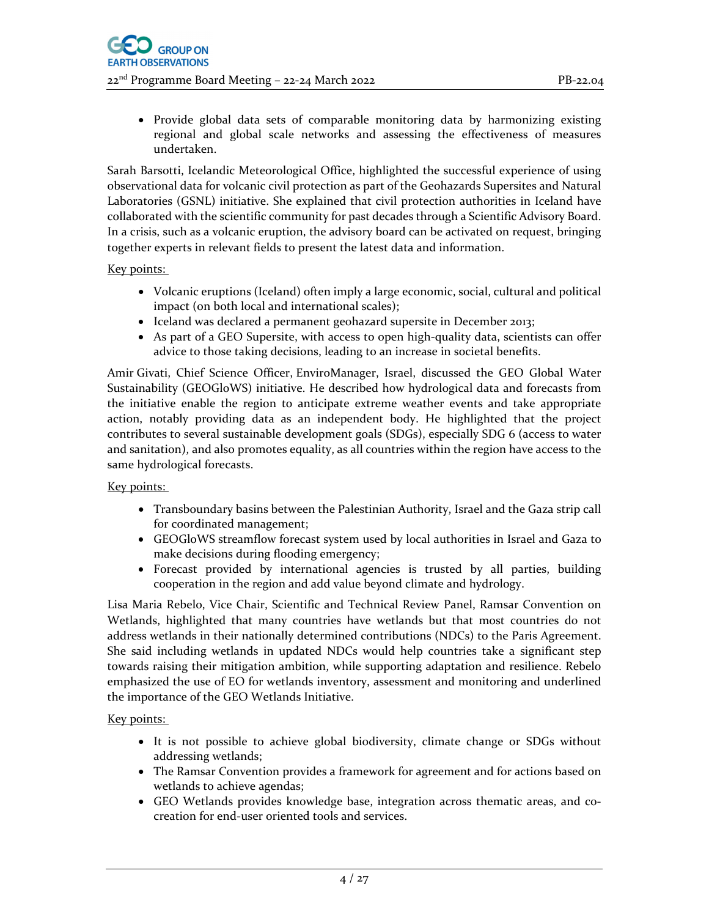Provide global data sets of comparable monitoring data by harmonizing existing regional and global scale networks and assessing the effectiveness of measures undertaken.

Sarah Barsotti, Icelandic Meteorological Office, highlighted the successful experience of using observational data for volcanic civil protection as part of the Geohazards Supersites and Natural Laboratories (GSNL) initiative. She explained that civil protection authorities in Iceland have collaborated with the scientific community for past decades through a Scientific Advisory Board. In a crisis, such as a volcanic eruption, the advisory board can be activated on request, bringing together experts in relevant fields to present the latest data and information.

#### Key points:

- Volcanic eruptions (Iceland) often imply a large economic, social, cultural and political impact (on both local and international scales);
- Iceland was declared a permanent geohazard supersite in December 2013;
- As part of a GEO Supersite, with access to open high-quality data, scientists can offer advice to those taking decisions, leading to an increase in societal benefits.

Amir Givati, Chief Science Officer, EnviroManager, Israel, discussed the GEO Global Water Sustainability (GEOGloWS) initiative. He described how hydrological data and forecasts from the initiative enable the region to anticipate extreme weather events and take appropriate action, notably providing data as an independent body. He highlighted that the project contributes to several sustainable development goals (SDGs), especially SDG 6 (access to water and sanitation), and also promotes equality, as all countries within the region have access to the same hydrological forecasts.

#### Key points:

- Transboundary basins between the Palestinian Authority, Israel and the Gaza strip call for coordinated management;
- GEOGloWS streamflow forecast system used by local authorities in Israel and Gaza to make decisions during flooding emergency;
- Forecast provided by international agencies is trusted by all parties, building cooperation in the region and add value beyond climate and hydrology.

Lisa Maria Rebelo, Vice Chair, Scientific and Technical Review Panel, Ramsar Convention on Wetlands, highlighted that many countries have wetlands but that most countries do not address wetlands in their nationally determined contributions (NDCs) to the Paris Agreement. She said including wetlands in updated NDCs would help countries take a significant step towards raising their mitigation ambition, while supporting adaptation and resilience. Rebelo emphasized the use of EO for wetlands inventory, assessment and monitoring and underlined the importance of the GEO Wetlands Initiative.

#### Key points:

- It is not possible to achieve global biodiversity, climate change or SDGs without addressing wetlands;
- The Ramsar Convention provides a framework for agreement and for actions based on wetlands to achieve agendas;
- GEO Wetlands provides knowledge base, integration across thematic areas, and cocreation for end‐user oriented tools and services.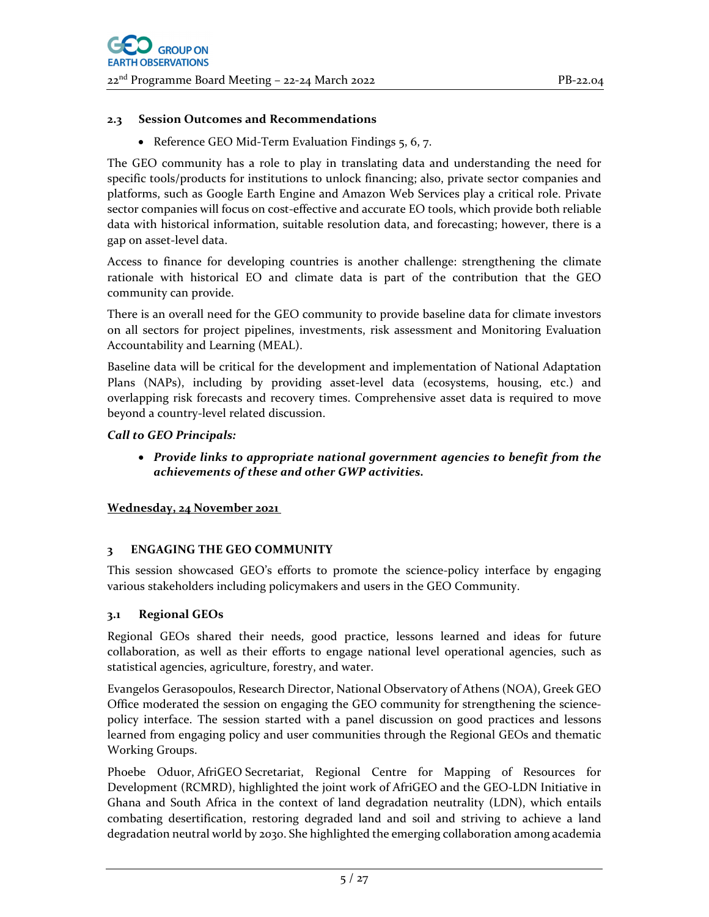#### **2.3 Session Outcomes and Recommendations**

● Reference GEO Mid-Term Evaluation Findings 5, 6, 7.

The GEO community has a role to play in translating data and understanding the need for specific tools/products for institutions to unlock financing; also, private sector companies and platforms, such as Google Earth Engine and Amazon Web Services play a critical role. Private sector companies will focus on cost-effective and accurate EO tools, which provide both reliable data with historical information, suitable resolution data, and forecasting; however, there is a gap on asset‐level data.

Access to finance for developing countries is another challenge: strengthening the climate rationale with historical EO and climate data is part of the contribution that the GEO community can provide.

There is an overall need for the GEO community to provide baseline data for climate investors on all sectors for project pipelines, investments, risk assessment and Monitoring Evaluation Accountability and Learning (MEAL).

Baseline data will be critical for the development and implementation of National Adaptation Plans (NAPs), including by providing asset‐level data (ecosystems, housing, etc.) and overlapping risk forecasts and recovery times. Comprehensive asset data is required to move beyond a country‐level related discussion.

## *Call to GEO Principals:*

 *Provide links to appropriate national government agencies to benefit from the achievements of these and other GWP activities.* 

#### **Wednesday, 24 November 2021**

#### **3 ENGAGING THE GEO COMMUNITY**

This session showcased GEO's efforts to promote the science-policy interface by engaging various stakeholders including policymakers and users in the GEO Community.

#### **3.1 Regional GEOs**

Regional GEOs shared their needs, good practice, lessons learned and ideas for future collaboration, as well as their efforts to engage national level operational agencies, such as statistical agencies, agriculture, forestry, and water.

Evangelos Gerasopoulos, Research Director, National Observatory of Athens (NOA), Greek GEO Office moderated the session on engaging the GEO community for strengthening the science‐ policy interface. The session started with a panel discussion on good practices and lessons learned from engaging policy and user communities through the Regional GEOs and thematic Working Groups.

Phoebe Oduor, AfriGEO Secretariat, Regional Centre for Mapping of Resources for Development (RCMRD), highlighted the joint work of AfriGEO and the GEO‐LDN Initiative in Ghana and South Africa in the context of land degradation neutrality (LDN), which entails combating desertification, restoring degraded land and soil and striving to achieve a land degradation neutral world by 2030. She highlighted the emerging collaboration among academia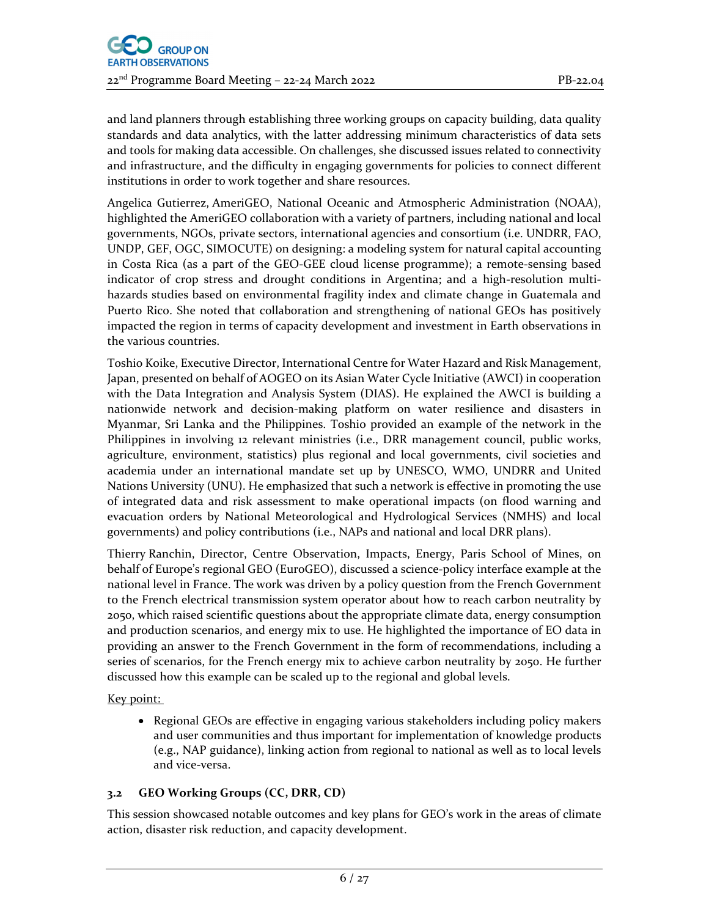and land planners through establishing three working groups on capacity building, data quality standards and data analytics, with the latter addressing minimum characteristics of data sets and tools for making data accessible. On challenges, she discussed issues related to connectivity and infrastructure, and the difficulty in engaging governments for policies to connect different institutions in order to work together and share resources.

Angelica Gutierrez, AmeriGEO, National Oceanic and Atmospheric Administration (NOAA), highlighted the AmeriGEO collaboration with a variety of partners, including national and local governments, NGOs, private sectors, international agencies and consortium (i.e. UNDRR, FAO, UNDP, GEF, OGC, SIMOCUTE) on designing: a modeling system for natural capital accounting in Costa Rica (as a part of the GEO‐GEE cloud license programme); a remote‐sensing based indicator of crop stress and drought conditions in Argentina; and a high-resolution multihazards studies based on environmental fragility index and climate change in Guatemala and Puerto Rico. She noted that collaboration and strengthening of national GEOs has positively impacted the region in terms of capacity development and investment in Earth observations in the various countries.

Toshio Koike, Executive Director, International Centre for Water Hazard and Risk Management, Japan, presented on behalf of AOGEO on its Asian Water Cycle Initiative (AWCI) in cooperation with the Data Integration and Analysis System (DIAS). He explained the AWCI is building a nationwide network and decision‐making platform on water resilience and disasters in Myanmar, Sri Lanka and the Philippines. Toshio provided an example of the network in the Philippines in involving 12 relevant ministries (i.e., DRR management council, public works, agriculture, environment, statistics) plus regional and local governments, civil societies and academia under an international mandate set up by UNESCO, WMO, UNDRR and United Nations University (UNU). He emphasized that such a network is effective in promoting the use of integrated data and risk assessment to make operational impacts (on flood warning and evacuation orders by National Meteorological and Hydrological Services (NMHS) and local governments) and policy contributions (i.e., NAPs and national and local DRR plans).

Thierry Ranchin, Director, Centre Observation, Impacts, Energy, Paris School of Mines, on behalf of Europe's regional GEO (EuroGEO), discussed a science‐policy interface example at the national level in France. The work was driven by a policy question from the French Government to the French electrical transmission system operator about how to reach carbon neutrality by 2050, which raised scientific questions about the appropriate climate data, energy consumption and production scenarios, and energy mix to use. He highlighted the importance of EO data in providing an answer to the French Government in the form of recommendations, including a series of scenarios, for the French energy mix to achieve carbon neutrality by 2050. He further discussed how this example can be scaled up to the regional and global levels.

Key point:

• Regional GEOs are effective in engaging various stakeholders including policy makers and user communities and thus important for implementation of knowledge products (e.g., NAP guidance), linking action from regional to national as well as to local levels and vice‐versa.

## **3.2 GEO Working Groups (CC, DRR, CD)**

This session showcased notable outcomes and key plans for GEO's work in the areas of climate action, disaster risk reduction, and capacity development.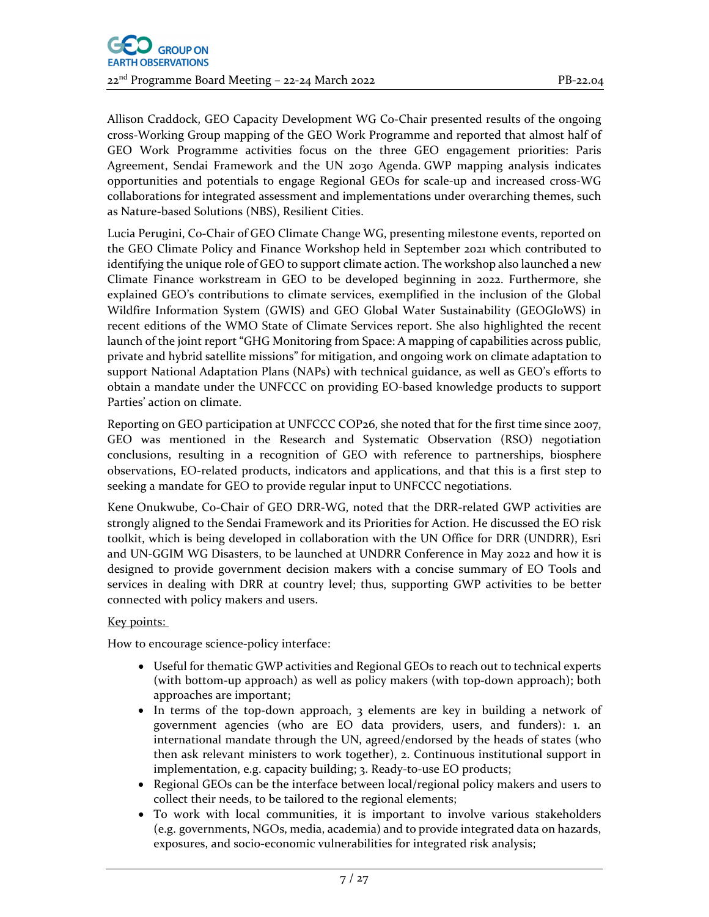Allison Craddock, GEO Capacity Development WG Co‐Chair presented results of the ongoing cross‐Working Group mapping of the GEO Work Programme and reported that almost half of GEO Work Programme activities focus on the three GEO engagement priorities: Paris Agreement, Sendai Framework and the UN 2030 Agenda. GWP mapping analysis indicates opportunities and potentials to engage Regional GEOs for scale‐up and increased cross‐WG collaborations for integrated assessment and implementations under overarching themes, such as Nature‐based Solutions (NBS), Resilient Cities.

Lucia Perugini, Co‐Chair of GEO Climate Change WG, presenting milestone events, reported on the GEO Climate Policy and Finance Workshop held in September 2021 which contributed to identifying the unique role of GEO to support climate action. The workshop also launched a new Climate Finance workstream in GEO to be developed beginning in 2022. Furthermore, she explained GEO's contributions to climate services, exemplified in the inclusion of the Global Wildfire Information System (GWIS) and GEO Global Water Sustainability (GEOGloWS) in recent editions of the WMO State of Climate Services report. She also highlighted the recent launch of the joint report "GHG Monitoring from Space: A mapping of capabilities across public, private and hybrid satellite missions" for mitigation, and ongoing work on climate adaptation to support National Adaptation Plans (NAPs) with technical guidance, as well as GEO's efforts to obtain a mandate under the UNFCCC on providing EO‐based knowledge products to support Parties' action on climate.

Reporting on GEO participation at UNFCCC COP26, she noted that for the first time since 2007, GEO was mentioned in the Research and Systematic Observation (RSO) negotiation conclusions, resulting in a recognition of GEO with reference to partnerships, biosphere observations, EO‐related products, indicators and applications, and that this is a first step to seeking a mandate for GEO to provide regular input to UNFCCC negotiations.

Kene Onukwube, Co‐Chair of GEO DRR‐WG, noted that the DRR‐related GWP activities are strongly aligned to the Sendai Framework and its Priorities for Action. He discussed the EO risk toolkit, which is being developed in collaboration with the UN Office for DRR (UNDRR), Esri and UN‐GGIM WG Disasters, to be launched at UNDRR Conference in May 2022 and how it is designed to provide government decision makers with a concise summary of EO Tools and services in dealing with DRR at country level; thus, supporting GWP activities to be better connected with policy makers and users.

## Key points:

How to encourage science‐policy interface:

- Useful for thematic GWP activities and Regional GEOs to reach out to technical experts (with bottom‐up approach) as well as policy makers (with top‐down approach); both approaches are important;
- In terms of the top-down approach, 3 elements are key in building a network of government agencies (who are EO data providers, users, and funders): 1. an international mandate through the UN, agreed/endorsed by the heads of states (who then ask relevant ministers to work together), 2. Continuous institutional support in implementation, e.g. capacity building; 3. Ready-to-use EO products;
- Regional GEOs can be the interface between local/regional policy makers and users to collect their needs, to be tailored to the regional elements;
- To work with local communities, it is important to involve various stakeholders (e.g. governments, NGOs, media, academia) and to provide integrated data on hazards, exposures, and socio‐economic vulnerabilities for integrated risk analysis;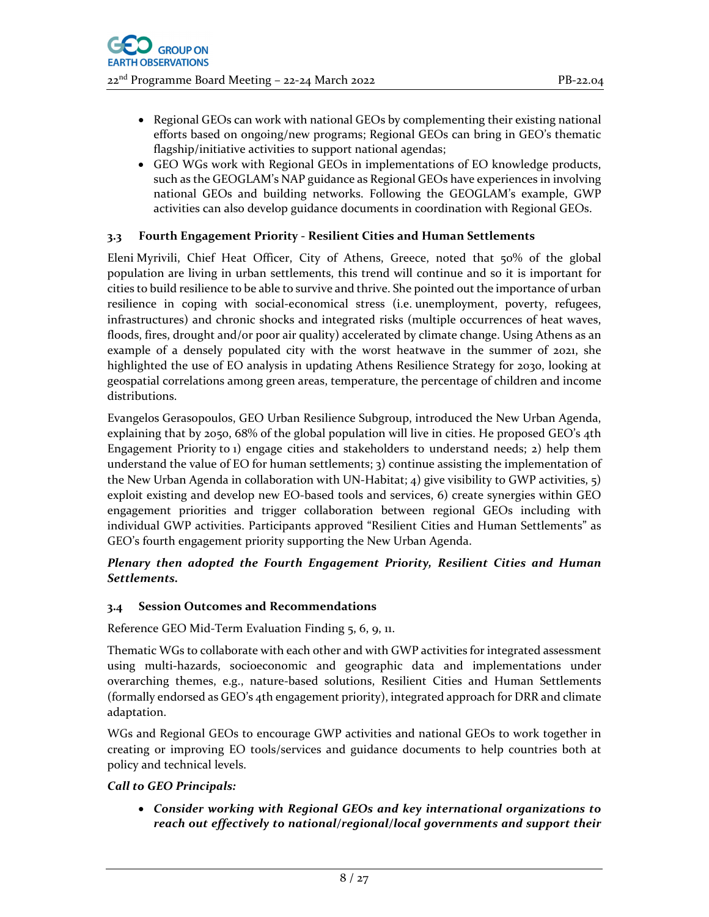- Regional GEOs can work with national GEOs by complementing their existing national efforts based on ongoing/new programs; Regional GEOs can bring in GEO's thematic flagship/initiative activities to support national agendas;
- GEO WGs work with Regional GEOs in implementations of EO knowledge products, such as the GEOGLAM's NAP guidance as Regional GEOs have experiences in involving national GEOs and building networks. Following the GEOGLAM's example, GWP activities can also develop guidance documents in coordination with Regional GEOs.

## **3.3 Fourth Engagement Priority ‐ Resilient Cities and Human Settlements**

Eleni Myrivili, Chief Heat Officer, City of Athens, Greece, noted that 50% of the global population are living in urban settlements, this trend will continue and so it is important for cities to build resilience to be able to survive and thrive. She pointed out the importance of urban resilience in coping with social-economical stress (i.e. unemployment, poverty, refugees, infrastructures) and chronic shocks and integrated risks (multiple occurrences of heat waves, floods, fires, drought and/or poor air quality) accelerated by climate change. Using Athens as an example of a densely populated city with the worst heatwave in the summer of 2021, she highlighted the use of EO analysis in updating Athens Resilience Strategy for 2030, looking at geospatial correlations among green areas, temperature, the percentage of children and income distributions.

Evangelos Gerasopoulos, GEO Urban Resilience Subgroup, introduced the New Urban Agenda, explaining that by 2050, 68% of the global population will live in cities. He proposed GEO's 4th Engagement Priority to 1) engage cities and stakeholders to understand needs; 2) help them understand the value of EO for human settlements; 3) continue assisting the implementation of the New Urban Agenda in collaboration with UN-Habitat; 4) give visibility to GWP activities,  $\frac{1}{2}$ exploit existing and develop new EO-based tools and services, 6) create synergies within GEO engagement priorities and trigger collaboration between regional GEOs including with individual GWP activities. Participants approved "Resilient Cities and Human Settlements" as GEO's fourth engagement priority supporting the New Urban Agenda.

#### *Plenary then adopted the Fourth Engagement Priority, Resilient Cities and Human Settlements.*

#### **3.4 Session Outcomes and Recommendations**

Reference GEO Mid‐Term Evaluation Finding 5, 6, 9, 11.

Thematic WGs to collaborate with each other and with GWP activities for integrated assessment using multi‐hazards, socioeconomic and geographic data and implementations under overarching themes, e.g., nature‐based solutions, Resilient Cities and Human Settlements (formally endorsed as GEO's 4th engagement priority), integrated approach for DRR and climate adaptation.

WGs and Regional GEOs to encourage GWP activities and national GEOs to work together in creating or improving EO tools/services and guidance documents to help countries both at policy and technical levels.

## *Call to GEO Principals:*

 *Consider working with Regional GEOs and key international organizations to reach out effectively to national/regional/local governments and support their*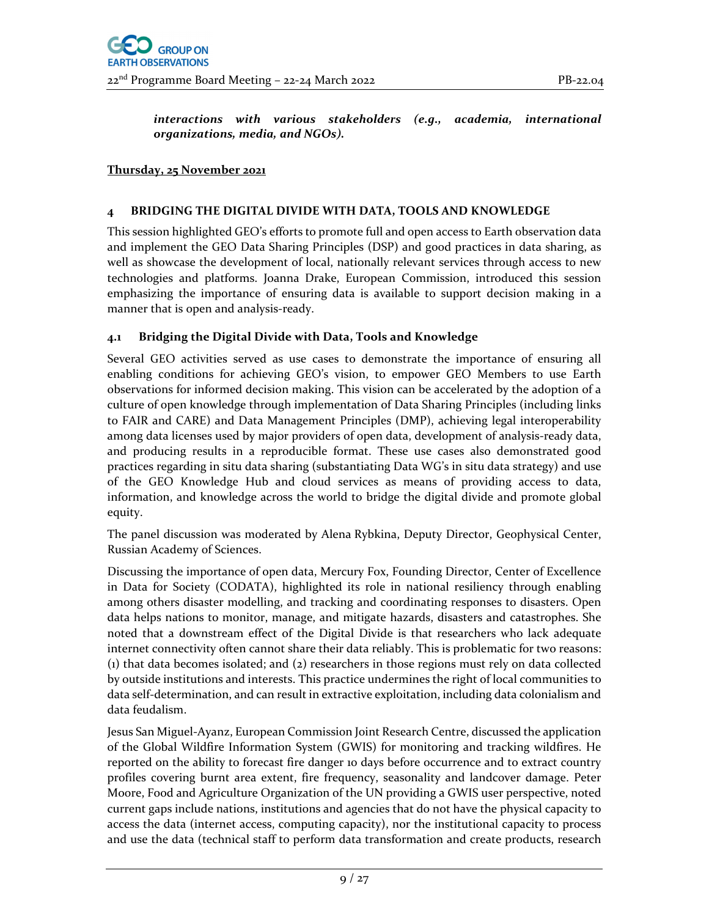*interactions with various stakeholders (e.g., academia, international organizations, media, and NGOs).* 

#### **Thursday, 25 November 2021**

#### **4 BRIDGING THE DIGITAL DIVIDE WITH DATA, TOOLS AND KNOWLEDGE**

This session highlighted GEO's efforts to promote full and open access to Earth observation data and implement the GEO Data Sharing Principles (DSP) and good practices in data sharing, as well as showcase the development of local, nationally relevant services through access to new technologies and platforms. Joanna Drake, European Commission, introduced this session emphasizing the importance of ensuring data is available to support decision making in a manner that is open and analysis-ready.

#### **4.1 Bridging the Digital Divide with Data, Tools and Knowledge**

Several GEO activities served as use cases to demonstrate the importance of ensuring all enabling conditions for achieving GEO's vision, to empower GEO Members to use Earth observations for informed decision making. This vision can be accelerated by the adoption of a culture of open knowledge through implementation of Data Sharing Principles (including links to FAIR and CARE) and Data Management Principles (DMP), achieving legal interoperability among data licenses used by major providers of open data, development of analysis-ready data, and producing results in a reproducible format. These use cases also demonstrated good practices regarding in situ data sharing (substantiating Data WG's in situ data strategy) and use of the GEO Knowledge Hub and cloud services as means of providing access to data, information, and knowledge across the world to bridge the digital divide and promote global equity.

The panel discussion was moderated by Alena Rybkina, Deputy Director, Geophysical Center, Russian Academy of Sciences.

Discussing the importance of open data, Mercury Fox, Founding Director, Center of Excellence in Data for Society (CODATA), highlighted its role in national resiliency through enabling among others disaster modelling, and tracking and coordinating responses to disasters. Open data helps nations to monitor, manage, and mitigate hazards, disasters and catastrophes. She noted that a downstream effect of the Digital Divide is that researchers who lack adequate internet connectivity often cannot share their data reliably. This is problematic for two reasons: (1) that data becomes isolated; and (2) researchers in those regions must rely on data collected by outside institutions and interests. This practice undermines the right of local communities to data self‐determination, and can result in extractive exploitation, including data colonialism and data feudalism.

Jesus San Miguel‐Ayanz, European Commission Joint Research Centre, discussed the application of the Global Wildfire Information System (GWIS) for monitoring and tracking wildfires. He reported on the ability to forecast fire danger 10 days before occurrence and to extract country profiles covering burnt area extent, fire frequency, seasonality and landcover damage. Peter Moore, Food and Agriculture Organization of the UN providing a GWIS user perspective, noted current gaps include nations, institutions and agencies that do not have the physical capacity to access the data (internet access, computing capacity), nor the institutional capacity to process and use the data (technical staff to perform data transformation and create products, research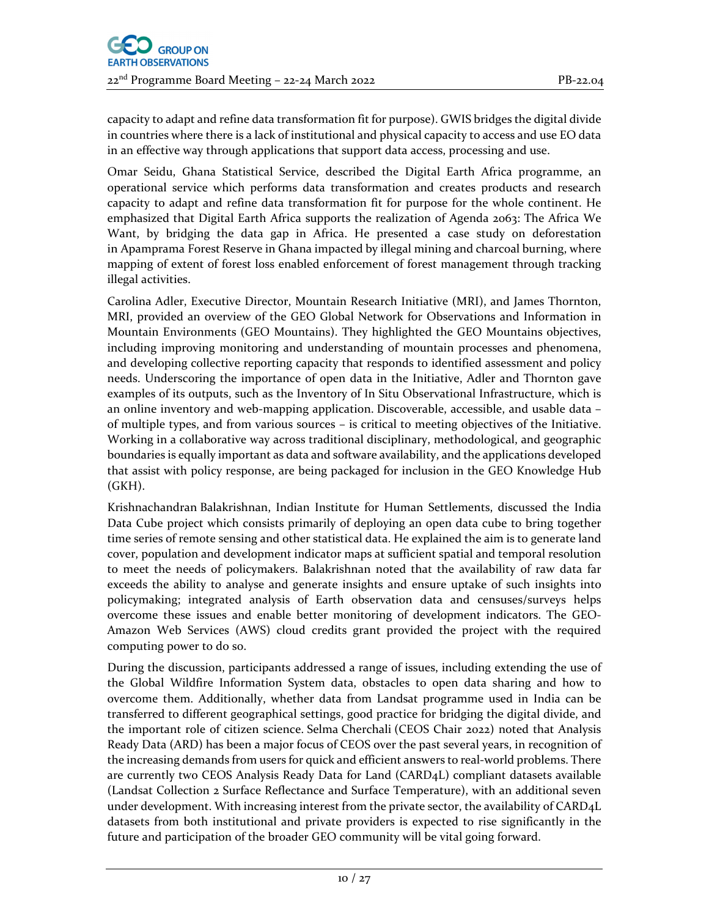capacity to adapt and refine data transformation fit for purpose). GWIS bridges the digital divide in countries where there is a lack of institutional and physical capacity to access and use EO data in an effective way through applications that support data access, processing and use.

Omar Seidu, Ghana Statistical Service, described the Digital Earth Africa programme, an operational service which performs data transformation and creates products and research capacity to adapt and refine data transformation fit for purpose for the whole continent. He emphasized that Digital Earth Africa supports the realization of Agenda 2063: The Africa We Want, by bridging the data gap in Africa. He presented a case study on deforestation in Apamprama Forest Reserve in Ghana impacted by illegal mining and charcoal burning, where mapping of extent of forest loss enabled enforcement of forest management through tracking illegal activities.

Carolina Adler, Executive Director, Mountain Research Initiative (MRI), and James Thornton, MRI, provided an overview of the GEO Global Network for Observations and Information in Mountain Environments (GEO Mountains). They highlighted the GEO Mountains objectives, including improving monitoring and understanding of mountain processes and phenomena, and developing collective reporting capacity that responds to identified assessment and policy needs. Underscoring the importance of open data in the Initiative, Adler and Thornton gave examples of its outputs, such as the Inventory of In Situ Observational Infrastructure, which is an online inventory and web-mapping application. Discoverable, accessible, and usable data – of multiple types, and from various sources – is critical to meeting objectives of the Initiative. Working in a collaborative way across traditional disciplinary, methodological, and geographic boundaries is equally important as data and software availability, and the applications developed that assist with policy response, are being packaged for inclusion in the GEO Knowledge Hub (GKH).

Krishnachandran Balakrishnan, Indian Institute for Human Settlements, discussed the India Data Cube project which consists primarily of deploying an open data cube to bring together time series of remote sensing and other statistical data. He explained the aim is to generate land cover, population and development indicator maps at sufficient spatial and temporal resolution to meet the needs of policymakers. Balakrishnan noted that the availability of raw data far exceeds the ability to analyse and generate insights and ensure uptake of such insights into policymaking; integrated analysis of Earth observation data and censuses/surveys helps overcome these issues and enable better monitoring of development indicators. The GEO‐ Amazon Web Services (AWS) cloud credits grant provided the project with the required computing power to do so.

During the discussion, participants addressed a range of issues, including extending the use of the Global Wildfire Information System data, obstacles to open data sharing and how to overcome them. Additionally, whether data from Landsat programme used in India can be transferred to different geographical settings, good practice for bridging the digital divide, and the important role of citizen science. Selma Cherchali (CEOS Chair 2022) noted that Analysis Ready Data (ARD) has been a major focus of CEOS over the past several years, in recognition of the increasing demands from users for quick and efficient answers to real‐world problems. There are currently two CEOS Analysis Ready Data for Land (CARD4L) compliant datasets available (Landsat Collection 2 Surface Reflectance and Surface Temperature), with an additional seven under development. With increasing interest from the private sector, the availability of CARD4L datasets from both institutional and private providers is expected to rise significantly in the future and participation of the broader GEO community will be vital going forward.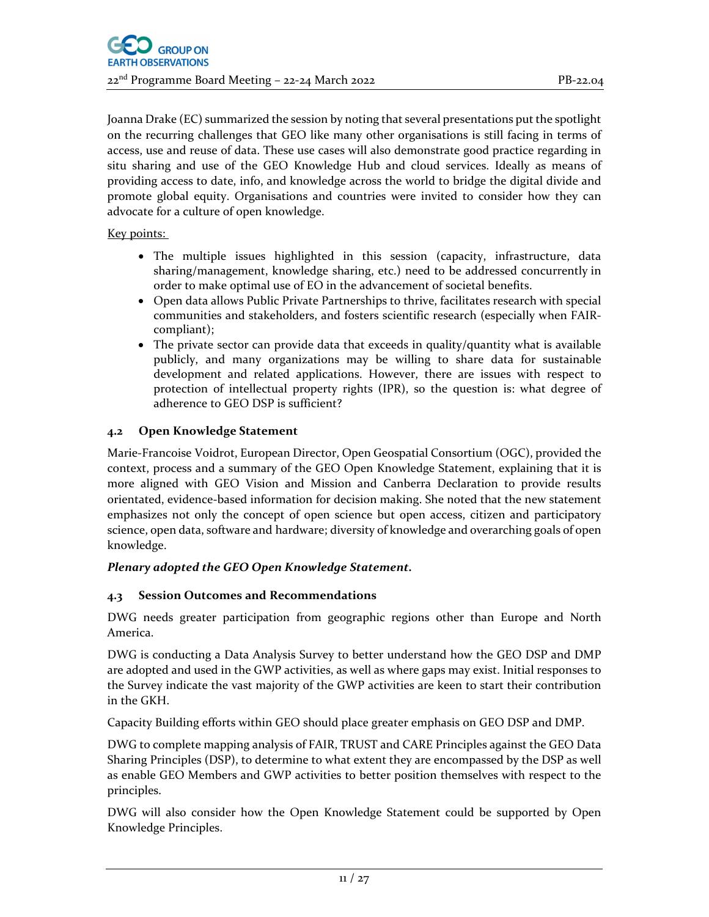Joanna Drake (EC) summarized the session by noting that several presentations put the spotlight on the recurring challenges that GEO like many other organisations is still facing in terms of access, use and reuse of data. These use cases will also demonstrate good practice regarding in situ sharing and use of the GEO Knowledge Hub and cloud services. Ideally as means of providing access to date, info, and knowledge across the world to bridge the digital divide and promote global equity. Organisations and countries were invited to consider how they can advocate for a culture of open knowledge.

Key points:

- The multiple issues highlighted in this session (capacity, infrastructure, data sharing/management, knowledge sharing, etc.) need to be addressed concurrently in order to make optimal use of EO in the advancement of societal benefits.
- Open data allows Public Private Partnerships to thrive, facilitates research with special communities and stakeholders, and fosters scientific research (especially when FAIR‐ compliant);
- The private sector can provide data that exceeds in quality/quantity what is available publicly, and many organizations may be willing to share data for sustainable development and related applications. However, there are issues with respect to protection of intellectual property rights (IPR), so the question is: what degree of adherence to GEO DSP is sufficient?

## **4.2 Open Knowledge Statement**

Marie‐Francoise Voidrot, European Director, Open Geospatial Consortium (OGC), provided the context, process and a summary of the GEO Open Knowledge Statement, explaining that it is more aligned with GEO Vision and Mission and Canberra Declaration to provide results orientated, evidence‐based information for decision making. She noted that the new statement emphasizes not only the concept of open science but open access, citizen and participatory science, open data, software and hardware; diversity of knowledge and overarching goals of open knowledge.

# *Plenary adopted the GEO Open Knowledge Statement.*

# **4.3 Session Outcomes and Recommendations**

DWG needs greater participation from geographic regions other than Europe and North America.

DWG is conducting a Data Analysis Survey to better understand how the GEO DSP and DMP are adopted and used in the GWP activities, as well as where gaps may exist. Initial responses to the Survey indicate the vast majority of the GWP activities are keen to start their contribution in the GKH.

Capacity Building efforts within GEO should place greater emphasis on GEO DSP and DMP.

DWG to complete mapping analysis of FAIR, TRUST and CARE Principles against the GEO Data Sharing Principles (DSP), to determine to what extent they are encompassed by the DSP as well as enable GEO Members and GWP activities to better position themselves with respect to the principles.

DWG will also consider how the Open Knowledge Statement could be supported by Open Knowledge Principles.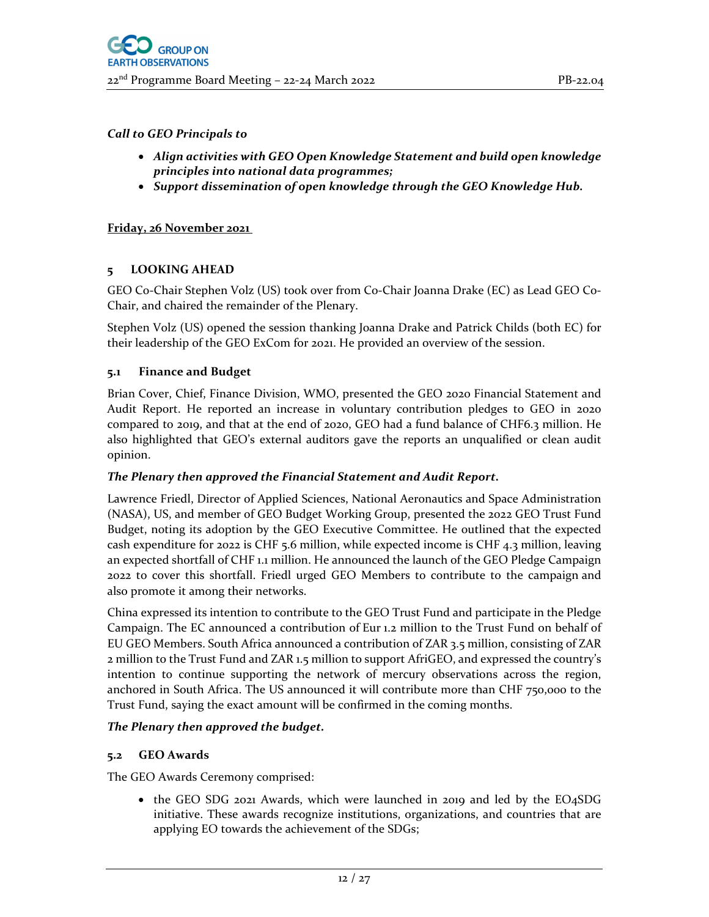- *Align activities with GEO Open Knowledge Statement and build open knowledge principles into national data programmes;*
- *Support dissemination of open knowledge through the GEO Knowledge Hub.*

## **Friday, 26 November 2021**

## **5 LOOKING AHEAD**

GEO Co‐Chair Stephen Volz (US) took over from Co‐Chair Joanna Drake (EC) as Lead GEO Co‐ Chair, and chaired the remainder of the Plenary.

Stephen Volz (US) opened the session thanking Joanna Drake and Patrick Childs (both EC) for their leadership of the GEO ExCom for 2021. He provided an overview of the session.

#### **5.1 Finance and Budget**

Brian Cover, Chief, Finance Division, WMO, presented the GEO 2020 Financial Statement and Audit Report. He reported an increase in voluntary contribution pledges to GEO in 2020 compared to 2019, and that at the end of 2020, GEO had a fund balance of CHF6.3 million. He also highlighted that GEO's external auditors gave the reports an unqualified or clean audit opinion.

#### *The Plenary then approved the Financial Statement and Audit Report.*

Lawrence Friedl, Director of Applied Sciences, National Aeronautics and Space Administration (NASA), US, and member of GEO Budget Working Group, presented the 2022 GEO Trust Fund Budget, noting its adoption by the GEO Executive Committee. He outlined that the expected cash expenditure for 2022 is CHF 5.6 million, while expected income is CHF 4.3 million, leaving an expected shortfall of CHF 1.1 million. He announced the launch of the GEO Pledge Campaign 2022 to cover this shortfall. Friedl urged GEO Members to contribute to the campaign and also promote it among their networks.

China expressed its intention to contribute to the GEO Trust Fund and participate in the Pledge Campaign. The EC announced a contribution of Eur 1.2 million to the Trust Fund on behalf of EU GEO Members. South Africa announced a contribution of ZAR 3.5 million, consisting of ZAR 2 million to the Trust Fund and ZAR 1.5 million to support AfriGEO, and expressed the country's intention to continue supporting the network of mercury observations across the region, anchored in South Africa. The US announced it will contribute more than CHF 750,000 to the Trust Fund, saying the exact amount will be confirmed in the coming months.

## *The Plenary then approved the budget.*

## **5.2 GEO Awards**

The GEO Awards Ceremony comprised:

• the GEO SDG 2021 Awards, which were launched in 2019 and led by the EO4SDG initiative. These awards recognize institutions, organizations, and countries that are applying EO towards the achievement of the SDGs;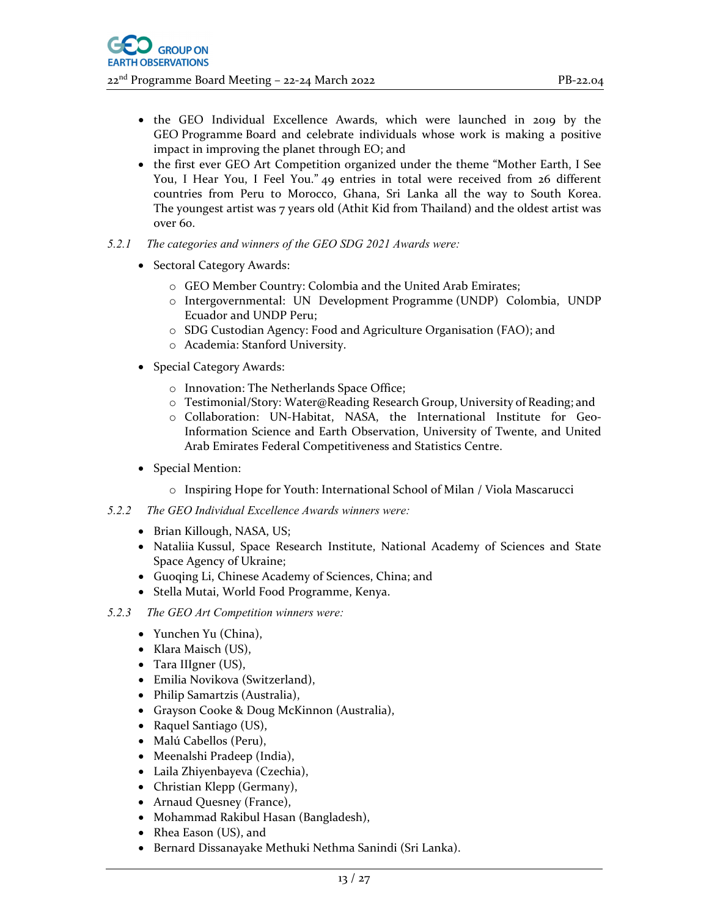- the GEO Individual Excellence Awards, which were launched in 2019 by the GEO Programme Board and celebrate individuals whose work is making a positive impact in improving the planet through EO; and
- the first ever GEO Art Competition organized under the theme "Mother Earth, I See You, I Hear You, I Feel You." 49 entries in total were received from 26 different countries from Peru to Morocco, Ghana, Sri Lanka all the way to South Korea. The youngest artist was 7 years old (Athit Kid from Thailand) and the oldest artist was over 60.
- *5.2.1 The categories and winners of the GEO SDG 2021 Awards were:* 
	- Sectoral Category Awards:
		- o GEO Member Country: Colombia and the United Arab Emirates;
		- o Intergovernmental: UN Development Programme (UNDP) Colombia, UNDP Ecuador and UNDP Peru;
		- o SDG Custodian Agency: Food and Agriculture Organisation (FAO); and
		- o Academia: Stanford University.
	- Special Category Awards:
		- o Innovation: The Netherlands Space Office;
		- o Testimonial/Story: Water@Reading Research Group, University of Reading; and
		- o Collaboration: UN‐Habitat, NASA, the International Institute for Geo‐ Information Science and Earth Observation, University of Twente, and United Arab Emirates Federal Competitiveness and Statistics Centre.
	- Special Mention:
		- o Inspiring Hope for Youth: International School of Milan / Viola Mascarucci
- *5.2.2 The GEO Individual Excellence Awards winners were:* 
	- Brian Killough, NASA, US;
	- Nataliia Kussul, Space Research Institute, National Academy of Sciences and State Space Agency of Ukraine;
	- Guoqing Li, Chinese Academy of Sciences, China; and
	- Stella Mutai, World Food Programme, Kenya.
- *5.2.3 The GEO Art Competition winners were:* 
	- Yunchen Yu (China),
	- Klara Maisch (US),
	- Tara IIIgner (US),
	- Emilia Novikova (Switzerland),
	- Philip Samartzis (Australia),
	- Grayson Cooke & Doug McKinnon (Australia),
	- Raquel Santiago (US),
	- Malú Cabellos (Peru),
	- Meenalshi Pradeep (India),
	- Laila Zhiyenbayeva (Czechia),
	- Christian Klepp (Germany),
	- Arnaud Quesney (France),
	- Mohammad Rakibul Hasan (Bangladesh),
	- Rhea Eason (US), and
	- Bernard Dissanayake Methuki Nethma Sanindi (Sri Lanka).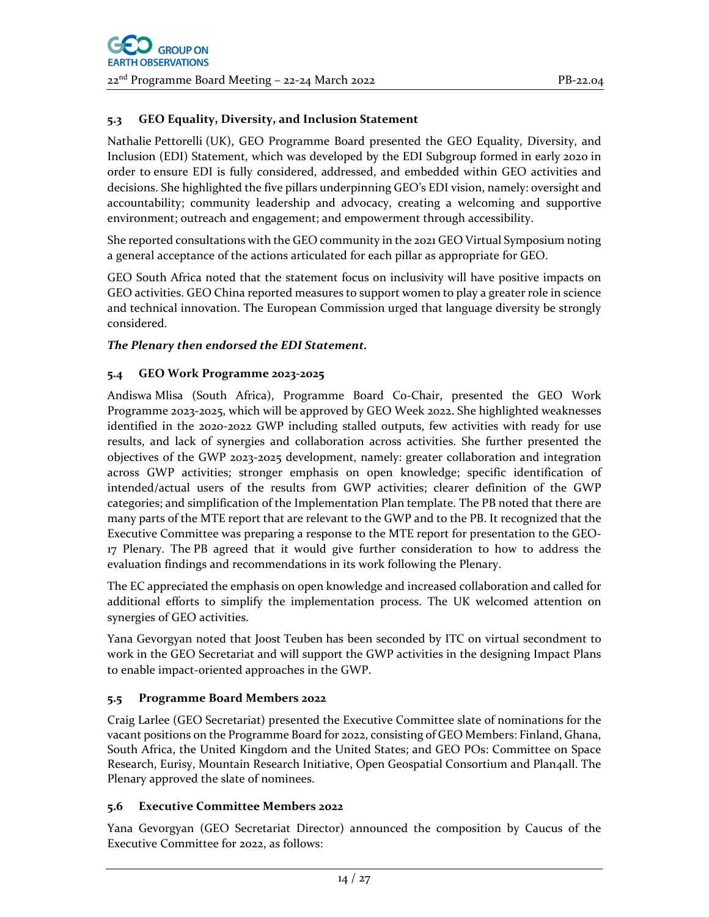## **5.3 GEO Equality, Diversity, and Inclusion Statement**

Nathalie Pettorelli (UK), GEO Programme Board presented the GEO Equality, Diversity, and Inclusion (EDI) Statement, which was developed by the EDI Subgroup formed in early 2020 in order to ensure EDI is fully considered, addressed, and embedded within GEO activities and decisions. She highlighted the five pillars underpinning GEO's EDI vision, namely: oversight and accountability; community leadership and advocacy, creating a welcoming and supportive environment; outreach and engagement; and empowerment through accessibility.

She reported consultations with the GEO community in the 2021 GEO Virtual Symposium noting a general acceptance of the actions articulated for each pillar as appropriate for GEO.

GEO South Africa noted that the statement focus on inclusivity will have positive impacts on GEO activities. GEO China reported measures to support women to play a greater role in science and technical innovation. The European Commission urged that language diversity be strongly considered.

#### *The Plenary then endorsed the EDI Statement.*

#### **5.4 GEO Work Programme 2023‐2025**

Andiswa Mlisa (South Africa), Programme Board Co‐Chair, presented the GEO Work Programme 2023‐2025, which will be approved by GEO Week 2022. She highlighted weaknesses identified in the 2020-2022 GWP including stalled outputs, few activities with ready for use results, and lack of synergies and collaboration across activities. She further presented the objectives of the GWP 2023‐2025 development, namely: greater collaboration and integration across GWP activities; stronger emphasis on open knowledge; specific identification of intended/actual users of the results from GWP activities; clearer definition of the GWP categories; and simplification of the Implementation Plan template. The PB noted that there are many parts of the MTE report that are relevant to the GWP and to the PB. It recognized that the Executive Committee was preparing a response to the MTE report for presentation to the GEO‐ 17 Plenary. The PB agreed that it would give further consideration to how to address the evaluation findings and recommendations in its work following the Plenary.

The EC appreciated the emphasis on open knowledge and increased collaboration and called for additional efforts to simplify the implementation process. The UK welcomed attention on synergies of GEO activities.

Yana Gevorgyan noted that Joost Teuben has been seconded by ITC on virtual secondment to work in the GEO Secretariat and will support the GWP activities in the designing Impact Plans to enable impact‐oriented approaches in the GWP.

## **5.5 Programme Board Members 2022**

Craig Larlee (GEO Secretariat) presented the Executive Committee slate of nominations for the vacant positions on the Programme Board for 2022, consisting of GEO Members: Finland, Ghana, South Africa, the United Kingdom and the United States; and GEO POs: Committee on Space Research, Eurisy, Mountain Research Initiative, Open Geospatial Consortium and Plan4all. The Plenary approved the slate of nominees.

## **5.6 Executive Committee Members 2022**

Yana Gevorgyan (GEO Secretariat Director) announced the composition by Caucus of the Executive Committee for 2022, as follows: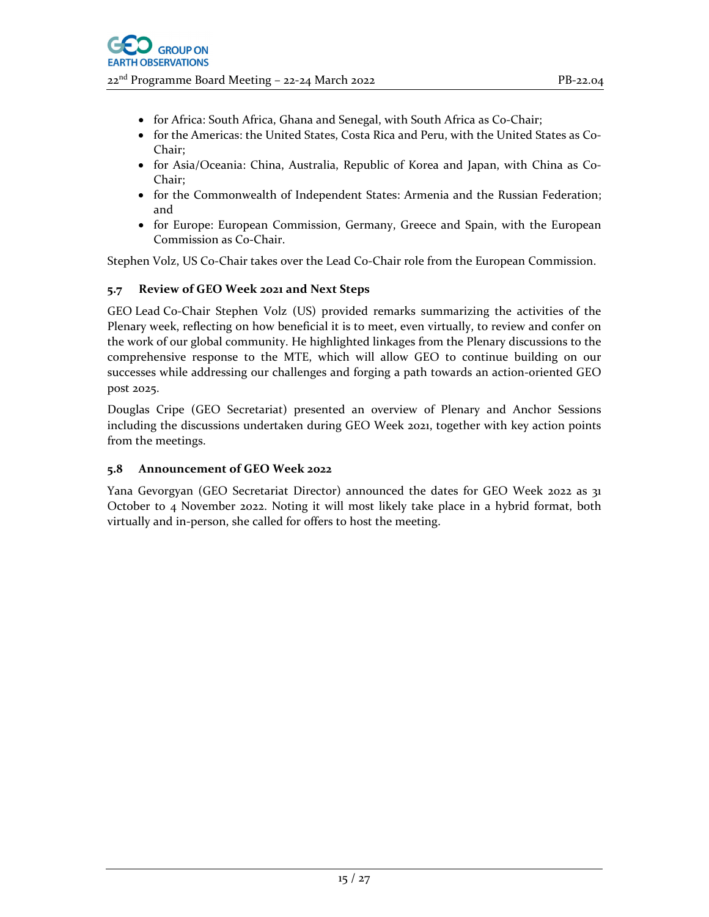- for Africa: South Africa, Ghana and Senegal, with South Africa as Co‐Chair;
- for the Americas: the United States, Costa Rica and Peru, with the United States as Co– Chair;
- for Asia/Oceania: China, Australia, Republic of Korea and Japan, with China as Co-Chair;
- for the Commonwealth of Independent States: Armenia and the Russian Federation; and
- for Europe: European Commission, Germany, Greece and Spain, with the European Commission as Co‐Chair.

Stephen Volz, US Co-Chair takes over the Lead Co-Chair role from the European Commission.

# **5.7 Review of GEO Week 2021 and Next Steps**

GEO Lead Co-Chair Stephen Volz (US) provided remarks summarizing the activities of the Plenary week, reflecting on how beneficial it is to meet, even virtually, to review and confer on the work of our global community. He highlighted linkages from the Plenary discussions to the comprehensive response to the MTE, which will allow GEO to continue building on our successes while addressing our challenges and forging a path towards an action-oriented GEO post 2025.

Douglas Cripe (GEO Secretariat) presented an overview of Plenary and Anchor Sessions including the discussions undertaken during GEO Week 2021, together with key action points from the meetings.

## **5.8 Announcement of GEO Week 2022**

Yana Gevorgyan (GEO Secretariat Director) announced the dates for GEO Week 2022 as 31 October to 4 November 2022. Noting it will most likely take place in a hybrid format, both virtually and in‐person, she called for offers to host the meeting.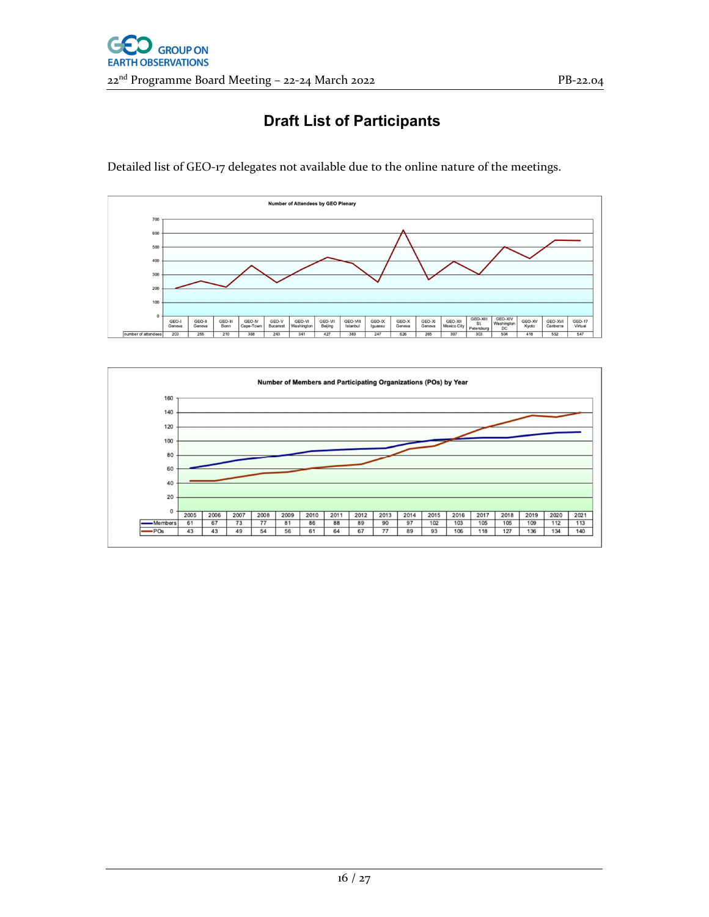# **Draft List of Participants**

Detailed list of GEO-17 delegates not available due to the online nature of the meetings.



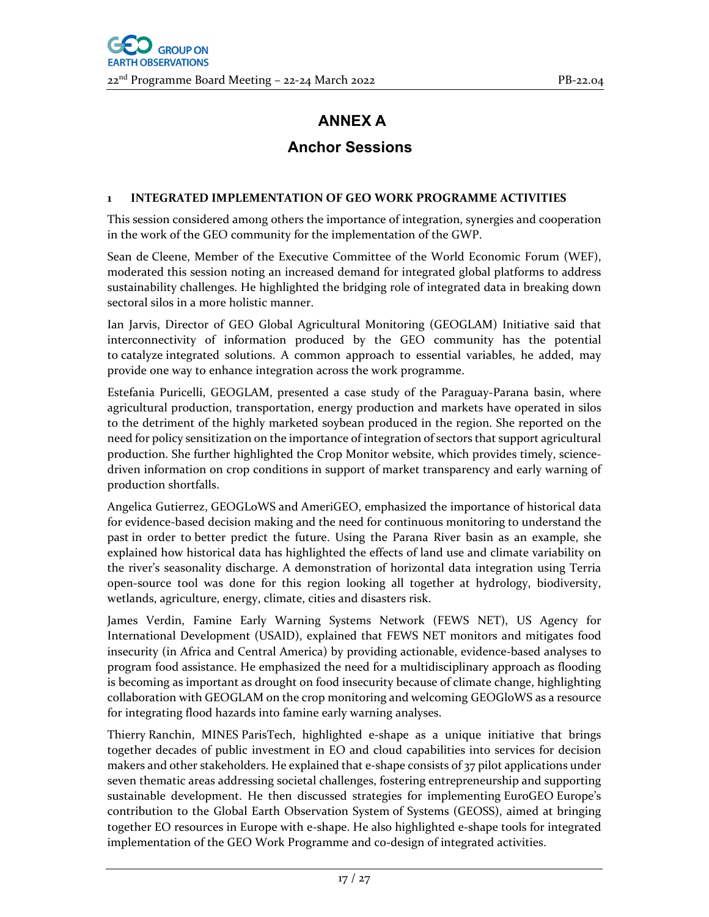# **ANNEX A**

# **Anchor Sessions**

## **1 INTEGRATED IMPLEMENTATION OF GEO WORK PROGRAMME ACTIVITIES**

This session considered among others the importance of integration, synergies and cooperation in the work of the GEO community for the implementation of the GWP.

Sean de Cleene, Member of the Executive Committee of the World Economic Forum (WEF), moderated this session noting an increased demand for integrated global platforms to address sustainability challenges. He highlighted the bridging role of integrated data in breaking down sectoral silos in a more holistic manner.

Ian Jarvis, Director of GEO Global Agricultural Monitoring (GEOGLAM) Initiative said that interconnectivity of information produced by the GEO community has the potential to catalyze integrated solutions. A common approach to essential variables, he added, may provide one way to enhance integration across the work programme.

Estefania Puricelli, GEOGLAM, presented a case study of the Paraguay‐Parana basin, where agricultural production, transportation, energy production and markets have operated in silos to the detriment of the highly marketed soybean produced in the region. She reported on the need for policy sensitization on the importance of integration of sectors that support agricultural production. She further highlighted the Crop Monitor website, which provides timely, sciencedriven information on crop conditions in support of market transparency and early warning of production shortfalls.

Angelica Gutierrez, GEOGLoWS and AmeriGEO, emphasized the importance of historical data for evidence‐based decision making and the need for continuous monitoring to understand the past in order to better predict the future. Using the Parana River basin as an example, she explained how historical data has highlighted the effects of land use and climate variability on the river's seasonality discharge. A demonstration of horizontal data integration using Terria open‐source tool was done for this region looking all together at hydrology, biodiversity, wetlands, agriculture, energy, climate, cities and disasters risk.

James Verdin, Famine Early Warning Systems Network (FEWS NET), US Agency for International Development (USAID), explained that FEWS NET monitors and mitigates food insecurity (in Africa and Central America) by providing actionable, evidence-based analyses to program food assistance. He emphasized the need for a multidisciplinary approach as flooding is becoming as important as drought on food insecurity because of climate change, highlighting collaboration with GEOGLAM on the crop monitoring and welcoming GEOGloWS as a resource for integrating flood hazards into famine early warning analyses.

Thierry Ranchin, MINES ParisTech, highlighted e‐shape as a unique initiative that brings together decades of public investment in EO and cloud capabilities into services for decision makers and other stakeholders. He explained that e-shape consists of  $37$  pilot applications under seven thematic areas addressing societal challenges, fostering entrepreneurship and supporting sustainable development. He then discussed strategies for implementing EuroGEO Europe's contribution to the Global Earth Observation System of Systems (GEOSS), aimed at bringing together EO resources in Europe with e‐shape. He also highlighted e‐shape tools for integrated implementation of the GEO Work Programme and co-design of integrated activities.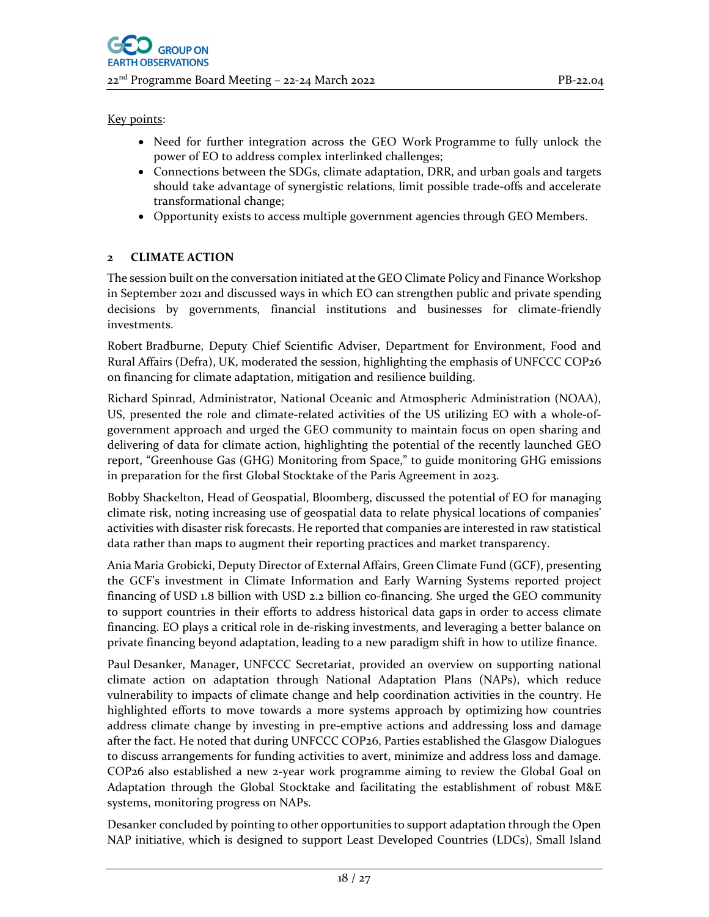#### Key points:

- Need for further integration across the GEO Work Programme to fully unlock the power of EO to address complex interlinked challenges;
- Connections between the SDGs, climate adaptation, DRR, and urban goals and targets should take advantage of synergistic relations, limit possible trade‐offs and accelerate transformational change;
- Opportunity exists to access multiple government agencies through GEO Members.

# **2 CLIMATE ACTION**

The session built on the conversation initiated at the GEO Climate Policy and Finance Workshop in September 2021 and discussed ways in which EO can strengthen public and private spending decisions by governments, financial institutions and businesses for climate‐friendly investments.

Robert Bradburne, Deputy Chief Scientific Adviser, Department for Environment, Food and Rural Affairs (Defra), UK, moderated the session, highlighting the emphasis of UNFCCC COP26 on financing for climate adaptation, mitigation and resilience building.

Richard Spinrad, Administrator, National Oceanic and Atmospheric Administration (NOAA), US, presented the role and climate‐related activities of the US utilizing EO with a whole‐of‐ government approach and urged the GEO community to maintain focus on open sharing and delivering of data for climate action, highlighting the potential of the recently launched GEO report, "Greenhouse Gas (GHG) Monitoring from Space," to guide monitoring GHG emissions in preparation for the first Global Stocktake of the Paris Agreement in 2023.

Bobby Shackelton, Head of Geospatial, Bloomberg, discussed the potential of EO for managing climate risk, noting increasing use of geospatial data to relate physical locations of companies' activities with disaster risk forecasts. He reported that companies are interested in raw statistical data rather than maps to augment their reporting practices and market transparency.

Ania Maria Grobicki, Deputy Director of External Affairs, Green Climate Fund (GCF), presenting the GCF's investment in Climate Information and Early Warning Systems reported project financing of USD 1.8 billion with USD 2.2 billion co-financing. She urged the GEO community to support countries in their efforts to address historical data gaps in order to access climate financing. EO plays a critical role in de‐risking investments, and leveraging a better balance on private financing beyond adaptation, leading to a new paradigm shift in how to utilize finance.

Paul Desanker, Manager, UNFCCC Secretariat, provided an overview on supporting national climate action on adaptation through National Adaptation Plans (NAPs), which reduce vulnerability to impacts of climate change and help coordination activities in the country. He highlighted efforts to move towards a more systems approach by optimizing how countries address climate change by investing in pre‐emptive actions and addressing loss and damage after the fact. He noted that during UNFCCC COP26, Parties established the Glasgow Dialogues to discuss arrangements for funding activities to avert, minimize and address loss and damage. COP26 also established a new 2‐year work programme aiming to review the Global Goal on Adaptation through the Global Stocktake and facilitating the establishment of robust M&E systems, monitoring progress on NAPs.

Desanker concluded by pointing to other opportunities to support adaptation through the Open NAP initiative, which is designed to support Least Developed Countries (LDCs), Small Island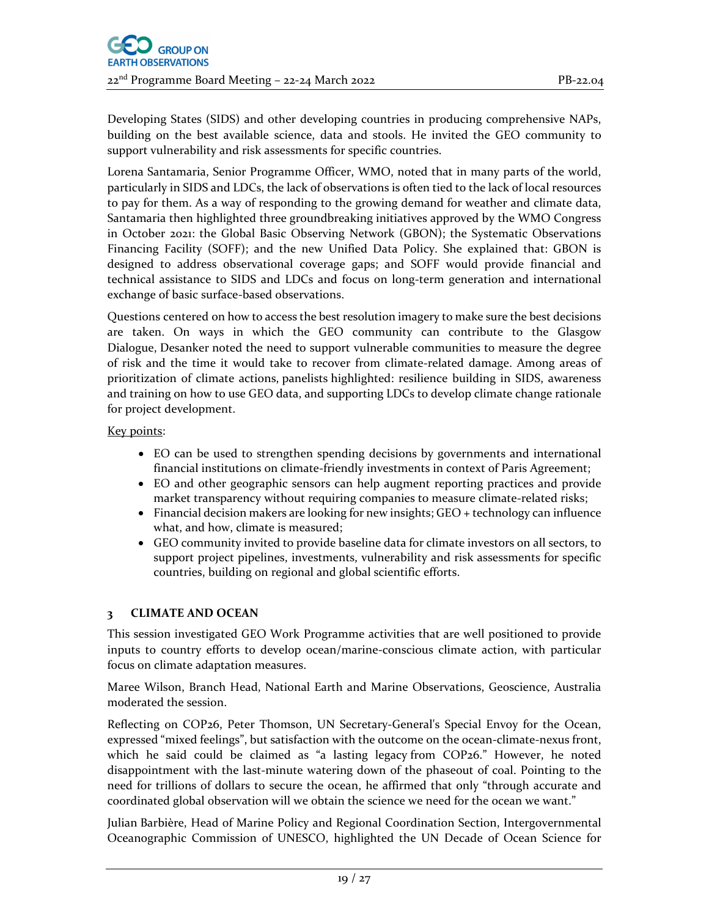Developing States (SIDS) and other developing countries in producing comprehensive NAPs, building on the best available science, data and stools. He invited the GEO community to support vulnerability and risk assessments for specific countries.

Lorena Santamaria, Senior Programme Officer, WMO, noted that in many parts of the world, particularly in SIDS and LDCs, the lack of observations is often tied to the lack of local resources to pay for them. As a way of responding to the growing demand for weather and climate data, Santamaria then highlighted three groundbreaking initiatives approved by the WMO Congress in October 2021: the Global Basic Observing Network (GBON); the Systematic Observations Financing Facility (SOFF); and the new Unified Data Policy. She explained that: GBON is designed to address observational coverage gaps; and SOFF would provide financial and technical assistance to SIDS and LDCs and focus on long‐term generation and international exchange of basic surface‐based observations.

Questions centered on how to access the best resolution imagery to make sure the best decisions are taken. On ways in which the GEO community can contribute to the Glasgow Dialogue, Desanker noted the need to support vulnerable communities to measure the degree of risk and the time it would take to recover from climate-related damage. Among areas of prioritization of climate actions, panelists highlighted: resilience building in SIDS, awareness and training on how to use GEO data, and supporting LDCs to develop climate change rationale for project development.

Key points:

- EO can be used to strengthen spending decisions by governments and international financial institutions on climate‐friendly investments in context of Paris Agreement;
- EO and other geographic sensors can help augment reporting practices and provide market transparency without requiring companies to measure climate-related risks;
- $\bullet$  Financial decision makers are looking for new insights; GEO + technology can influence what, and how, climate is measured;
- GEO community invited to provide baseline data for climate investors on all sectors, to support project pipelines, investments, vulnerability and risk assessments for specific countries, building on regional and global scientific efforts.

## **3 CLIMATE AND OCEAN**

This session investigated GEO Work Programme activities that are well positioned to provide inputs to country efforts to develop ocean/marine‐conscious climate action, with particular focus on climate adaptation measures.

Maree Wilson, Branch Head, National Earth and Marine Observations, Geoscience, Australia moderated the session.

Reflecting on COP26, Peter Thomson, UN Secretary‐General's Special Envoy for the Ocean, expressed "mixed feelings", but satisfaction with the outcome on the ocean-climate-nexus front, which he said could be claimed as "a lasting legacy from COP26." However, he noted disappointment with the last-minute watering down of the phaseout of coal. Pointing to the need for trillions of dollars to secure the ocean, he affirmed that only "through accurate and coordinated global observation will we obtain the science we need for the ocean we want."

Julian Barbière, Head of Marine Policy and Regional Coordination Section, Intergovernmental Oceanographic Commission of UNESCO, highlighted the UN Decade of Ocean Science for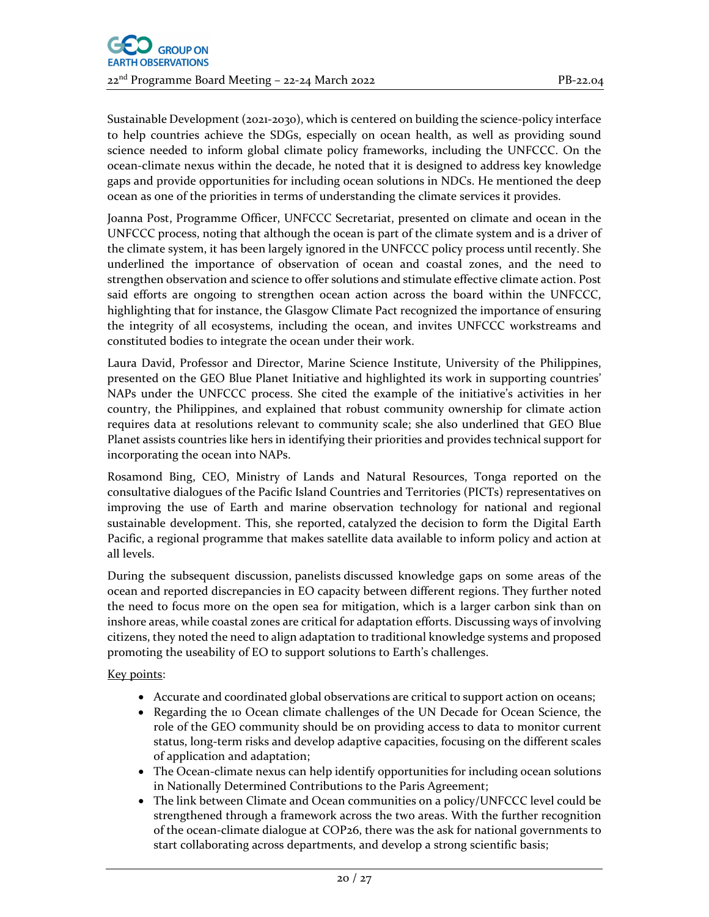Sustainable Development (2021-2030), which is centered on building the science-policy interface to help countries achieve the SDGs, especially on ocean health, as well as providing sound science needed to inform global climate policy frameworks, including the UNFCCC. On the ocean‐climate nexus within the decade, he noted that it is designed to address key knowledge gaps and provide opportunities for including ocean solutions in NDCs. He mentioned the deep ocean as one of the priorities in terms of understanding the climate services it provides.

Joanna Post, Programme Officer, UNFCCC Secretariat, presented on climate and ocean in the UNFCCC process, noting that although the ocean is part of the climate system and is a driver of the climate system, it has been largely ignored in the UNFCCC policy process until recently. She underlined the importance of observation of ocean and coastal zones, and the need to strengthen observation and science to offer solutions and stimulate effective climate action. Post said efforts are ongoing to strengthen ocean action across the board within the UNFCCC, highlighting that for instance, the Glasgow Climate Pact recognized the importance of ensuring the integrity of all ecosystems, including the ocean, and invites UNFCCC workstreams and constituted bodies to integrate the ocean under their work.

Laura David, Professor and Director, Marine Science Institute, University of the Philippines, presented on the GEO Blue Planet Initiative and highlighted its work in supporting countries' NAPs under the UNFCCC process. She cited the example of the initiative's activities in her country, the Philippines, and explained that robust community ownership for climate action requires data at resolutions relevant to community scale; she also underlined that GEO Blue Planet assists countries like hers in identifying their priorities and provides technical support for incorporating the ocean into NAPs.

Rosamond Bing, CEO, Ministry of Lands and Natural Resources, Tonga reported on the consultative dialogues of the Pacific Island Countries and Territories (PICTs) representatives on improving the use of Earth and marine observation technology for national and regional sustainable development. This, she reported, catalyzed the decision to form the Digital Earth Pacific, a regional programme that makes satellite data available to inform policy and action at all levels.

During the subsequent discussion, panelists discussed knowledge gaps on some areas of the ocean and reported discrepancies in EO capacity between different regions. They further noted the need to focus more on the open sea for mitigation, which is a larger carbon sink than on inshore areas, while coastal zones are critical for adaptation efforts. Discussing ways of involving citizens, they noted the need to align adaptation to traditional knowledge systems and proposed promoting the useability of EO to support solutions to Earth's challenges.

## Key points:

- Accurate and coordinated global observations are critical to support action on oceans;
- Regarding the 10 Ocean climate challenges of the UN Decade for Ocean Science, the role of the GEO community should be on providing access to data to monitor current status, long-term risks and develop adaptive capacities, focusing on the different scales of application and adaptation;
- The Ocean-climate nexus can help identify opportunities for including ocean solutions in Nationally Determined Contributions to the Paris Agreement;
- The link between Climate and Ocean communities on a policy/UNFCCC level could be strengthened through a framework across the two areas. With the further recognition of the ocean‐climate dialogue at COP26, there was the ask for national governments to start collaborating across departments, and develop a strong scientific basis;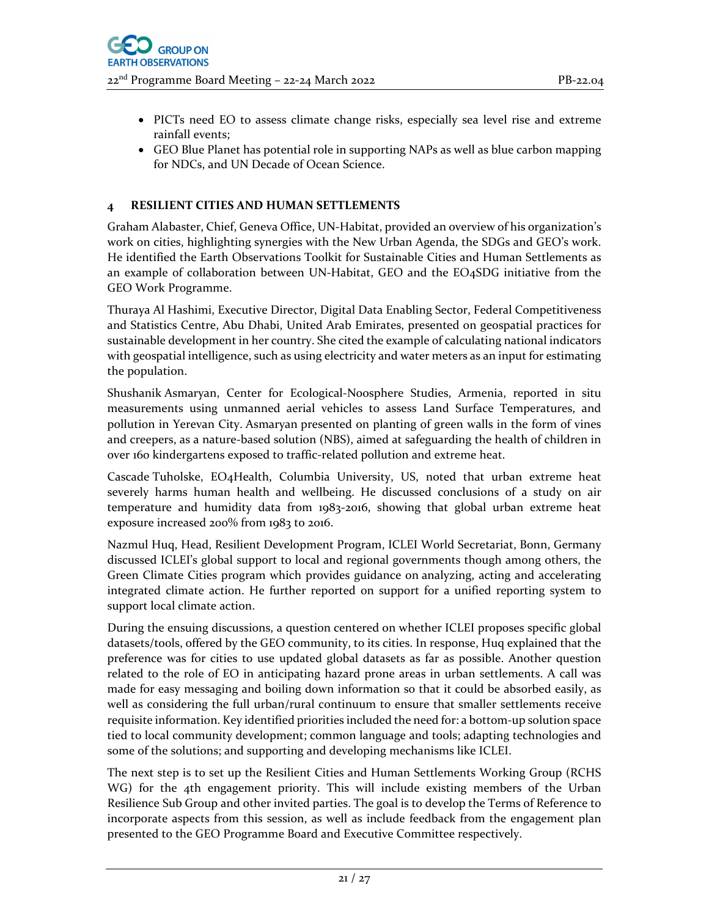- PICTs need EO to assess climate change risks, especially sea level rise and extreme rainfall events;
- GEO Blue Planet has potential role in supporting NAPs as well as blue carbon mapping for NDCs, and UN Decade of Ocean Science.

## **4 RESILIENT CITIES AND HUMAN SETTLEMENTS**

Graham Alabaster, Chief, Geneva Office, UN‐Habitat, provided an overview of his organization's work on cities, highlighting synergies with the New Urban Agenda, the SDGs and GEO's work. He identified the Earth Observations Toolkit for Sustainable Cities and Human Settlements as an example of collaboration between UN‐Habitat, GEO and the EO4SDG initiative from the GEO Work Programme.

Thuraya Al Hashimi, Executive Director, Digital Data Enabling Sector, Federal Competitiveness and Statistics Centre, Abu Dhabi, United Arab Emirates, presented on geospatial practices for sustainable development in her country. She cited the example of calculating national indicators with geospatial intelligence, such as using electricity and water meters as an input for estimating the population.

Shushanik Asmaryan, Center for Ecological‐Noosphere Studies, Armenia, reported in situ measurements using unmanned aerial vehicles to assess Land Surface Temperatures, and pollution in Yerevan City. Asmaryan presented on planting of green walls in the form of vines and creepers, as a nature-based solution (NBS), aimed at safeguarding the health of children in over 160 kindergartens exposed to traffic‐related pollution and extreme heat.

Cascade Tuholske, EO4Health, Columbia University, US, noted that urban extreme heat severely harms human health and wellbeing. He discussed conclusions of a study on air temperature and humidity data from 1983‐2016, showing that global urban extreme heat exposure increased 200% from 1983 to 2016.

Nazmul Huq, Head, Resilient Development Program, ICLEI World Secretariat, Bonn, Germany discussed ICLEI's global support to local and regional governments though among others, the Green Climate Cities program which provides guidance on analyzing, acting and accelerating integrated climate action. He further reported on support for a unified reporting system to support local climate action.

During the ensuing discussions, a question centered on whether ICLEI proposes specific global datasets/tools, offered by the GEO community, to its cities. In response, Huq explained that the preference was for cities to use updated global datasets as far as possible. Another question related to the role of EO in anticipating hazard prone areas in urban settlements. A call was made for easy messaging and boiling down information so that it could be absorbed easily, as well as considering the full urban/rural continuum to ensure that smaller settlements receive requisite information. Key identified priorities included the need for: a bottom-up solution space tied to local community development; common language and tools; adapting technologies and some of the solutions; and supporting and developing mechanisms like ICLEI.

The next step is to set up the Resilient Cities and Human Settlements Working Group (RCHS WG) for the 4th engagement priority. This will include existing members of the Urban Resilience Sub Group and other invited parties. The goal is to develop the Terms of Reference to incorporate aspects from this session, as well as include feedback from the engagement plan presented to the GEO Programme Board and Executive Committee respectively.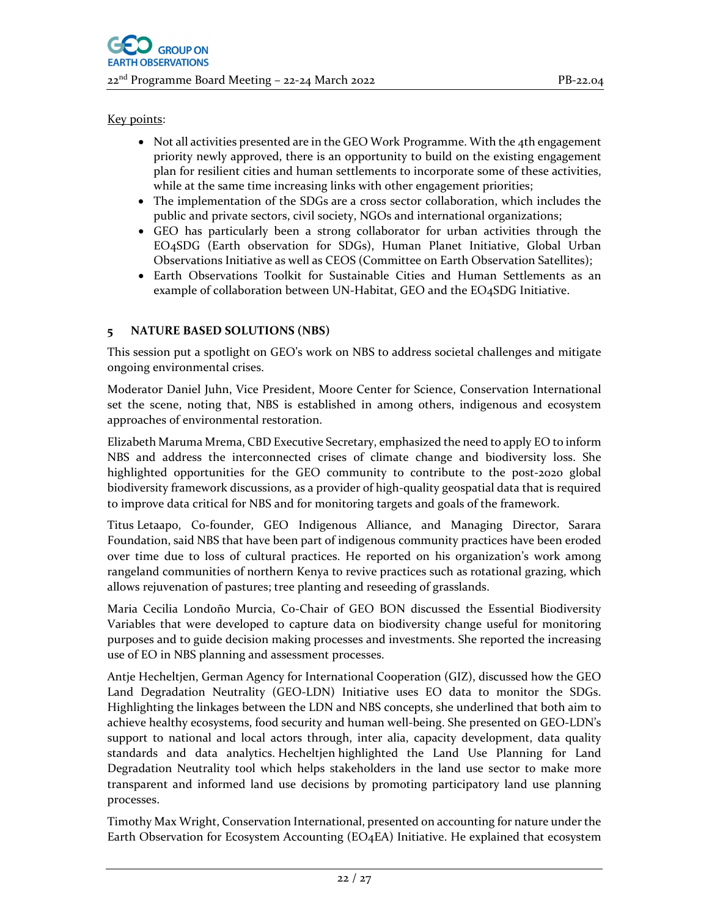#### Key points:

- Not all activities presented are in the GEO Work Programme. With the 4th engagement priority newly approved, there is an opportunity to build on the existing engagement plan for resilient cities and human settlements to incorporate some of these activities, while at the same time increasing links with other engagement priorities;
- The implementation of the SDGs are a cross sector collaboration, which includes the public and private sectors, civil society, NGOs and international organizations;
- GEO has particularly been a strong collaborator for urban activities through the EO4SDG (Earth observation for SDGs), Human Planet Initiative, Global Urban Observations Initiative as well as CEOS (Committee on Earth Observation Satellites);
- Earth Observations Toolkit for Sustainable Cities and Human Settlements as an example of collaboration between UN‐Habitat, GEO and the EO4SDG Initiative.

## **5 NATURE BASED SOLUTIONS (NBS)**

This session put a spotlight on GEO's work on NBS to address societal challenges and mitigate ongoing environmental crises.

Moderator Daniel Juhn, Vice President, Moore Center for Science, Conservation International set the scene, noting that, NBS is established in among others, indigenous and ecosystem approaches of environmental restoration.

Elizabeth Maruma Mrema, CBD Executive Secretary, emphasized the need to apply EO to inform NBS and address the interconnected crises of climate change and biodiversity loss. She highlighted opportunities for the GEO community to contribute to the post-2020 global biodiversity framework discussions, as a provider of high‐quality geospatial data that is required to improve data critical for NBS and for monitoring targets and goals of the framework.

Titus Letaapo, Co-founder, GEO Indigenous Alliance, and Managing Director, Sarara Foundation, said NBS that have been part of indigenous community practices have been eroded over time due to loss of cultural practices. He reported on his organization's work among rangeland communities of northern Kenya to revive practices such as rotational grazing, which allows rejuvenation of pastures; tree planting and reseeding of grasslands.

Maria Cecilia Londoño Murcia, Co‐Chair of GEO BON discussed the Essential Biodiversity Variables that were developed to capture data on biodiversity change useful for monitoring purposes and to guide decision making processes and investments. She reported the increasing use of EO in NBS planning and assessment processes.

Antje Hecheltjen, German Agency for International Cooperation (GIZ), discussed how the GEO Land Degradation Neutrality (GEO‐LDN) Initiative uses EO data to monitor the SDGs. Highlighting the linkages between the LDN and NBS concepts, she underlined that both aim to achieve healthy ecosystems, food security and human well‐being. She presented on GEO‐LDN's support to national and local actors through, inter alia, capacity development, data quality standards and data analytics. Hecheltjen highlighted the Land Use Planning for Land Degradation Neutrality tool which helps stakeholders in the land use sector to make more transparent and informed land use decisions by promoting participatory land use planning processes.

Timothy Max Wright, Conservation International, presented on accounting for nature under the Earth Observation for Ecosystem Accounting (EO4EA) Initiative. He explained that ecosystem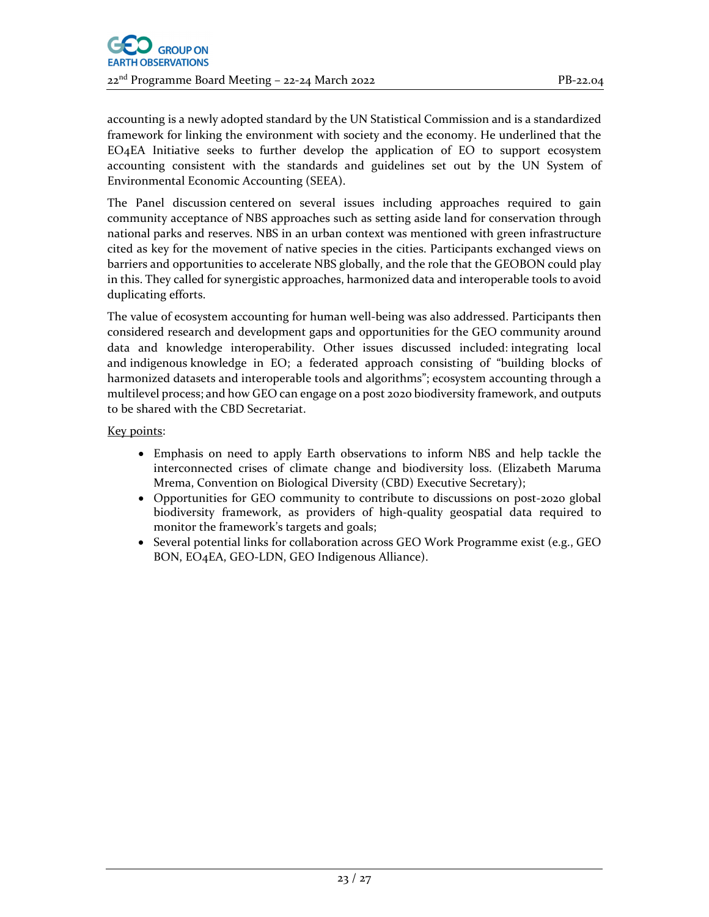accounting is a newly adopted standard by the UN Statistical Commission and is a standardized framework for linking the environment with society and the economy. He underlined that the EO4EA Initiative seeks to further develop the application of EO to support ecosystem accounting consistent with the standards and guidelines set out by the UN System of Environmental Economic Accounting (SEEA).

The Panel discussion centered on several issues including approaches required to gain community acceptance of NBS approaches such as setting aside land for conservation through national parks and reserves. NBS in an urban context was mentioned with green infrastructure cited as key for the movement of native species in the cities. Participants exchanged views on barriers and opportunities to accelerate NBS globally, and the role that the GEOBON could play in this. They called for synergistic approaches, harmonized data and interoperable tools to avoid duplicating efforts.

The value of ecosystem accounting for human well‐being was also addressed. Participants then considered research and development gaps and opportunities for the GEO community around data and knowledge interoperability. Other issues discussed included: integrating local and indigenous knowledge in EO; a federated approach consisting of "building blocks of harmonized datasets and interoperable tools and algorithms"; ecosystem accounting through a multilevel process; and how GEO can engage on a post 2020 biodiversity framework, and outputs to be shared with the CBD Secretariat.

Key points:

- Emphasis on need to apply Earth observations to inform NBS and help tackle the interconnected crises of climate change and biodiversity loss. (Elizabeth Maruma Mrema, Convention on Biological Diversity (CBD) Executive Secretary);
- Opportunities for GEO community to contribute to discussions on post-2020 global biodiversity framework, as providers of high‐quality geospatial data required to monitor the framework's targets and goals;
- Several potential links for collaboration across GEO Work Programme exist (e.g., GEO BON, EO4EA, GEO‐LDN, GEO Indigenous Alliance).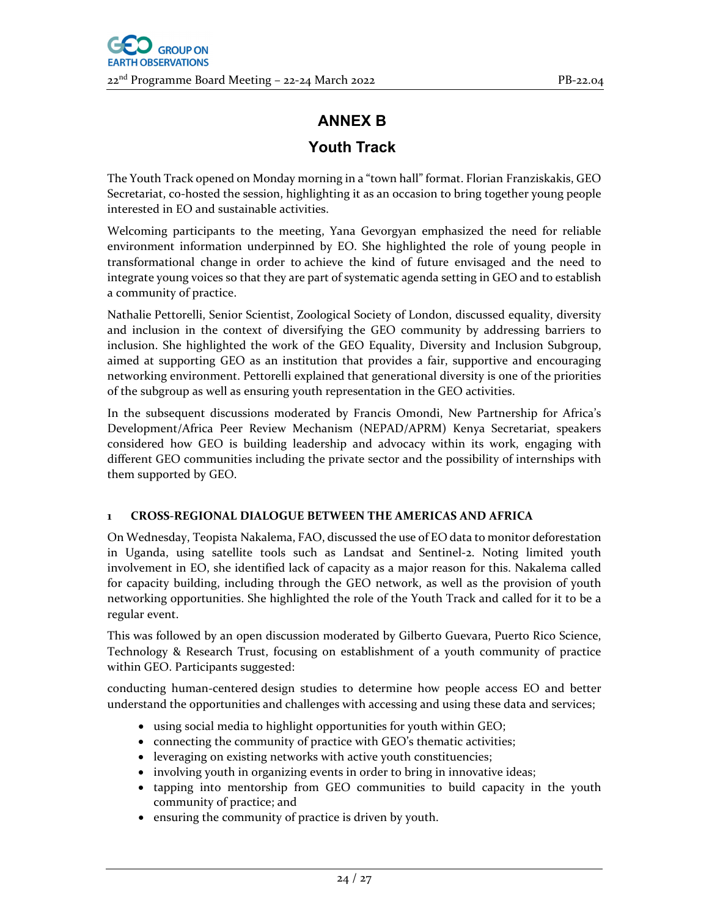# **ANNEX B**

# **Youth Track**

The Youth Track opened on Monday morning in a "town hall" format. Florian Franziskakis, GEO Secretariat, co-hosted the session, highlighting it as an occasion to bring together young people interested in EO and sustainable activities.

Welcoming participants to the meeting, Yana Gevorgyan emphasized the need for reliable environment information underpinned by EO. She highlighted the role of young people in transformational change in order to achieve the kind of future envisaged and the need to integrate young voices so that they are part of systematic agenda setting in GEO and to establish a community of practice.

Nathalie Pettorelli, Senior Scientist, Zoological Society of London, discussed equality, diversity and inclusion in the context of diversifying the GEO community by addressing barriers to inclusion. She highlighted the work of the GEO Equality, Diversity and Inclusion Subgroup, aimed at supporting GEO as an institution that provides a fair, supportive and encouraging networking environment. Pettorelli explained that generational diversity is one of the priorities of the subgroup as well as ensuring youth representation in the GEO activities.

In the subsequent discussions moderated by Francis Omondi, New Partnership for Africa's Development/Africa Peer Review Mechanism (NEPAD/APRM) Kenya Secretariat, speakers considered how GEO is building leadership and advocacy within its work, engaging with different GEO communities including the private sector and the possibility of internships with them supported by GEO.

# **1 CROSS‐REGIONAL DIALOGUE BETWEEN THE AMERICAS AND AFRICA**

On Wednesday, Teopista Nakalema, FAO, discussed the use of EO data to monitor deforestation in Uganda, using satellite tools such as Landsat and Sentinel‐2. Noting limited youth involvement in EO, she identified lack of capacity as a major reason for this. Nakalema called for capacity building, including through the GEO network, as well as the provision of youth networking opportunities. She highlighted the role of the Youth Track and called for it to be a regular event.

This was followed by an open discussion moderated by Gilberto Guevara, Puerto Rico Science, Technology & Research Trust, focusing on establishment of a youth community of practice within GEO. Participants suggested:

conducting human‐centered design studies to determine how people access EO and better understand the opportunities and challenges with accessing and using these data and services;

- using social media to highlight opportunities for youth within GEO;
- connecting the community of practice with GEO's thematic activities;
- leveraging on existing networks with active youth constituencies;
- involving youth in organizing events in order to bring in innovative ideas;
- tapping into mentorship from GEO communities to build capacity in the youth community of practice; and
- ensuring the community of practice is driven by youth.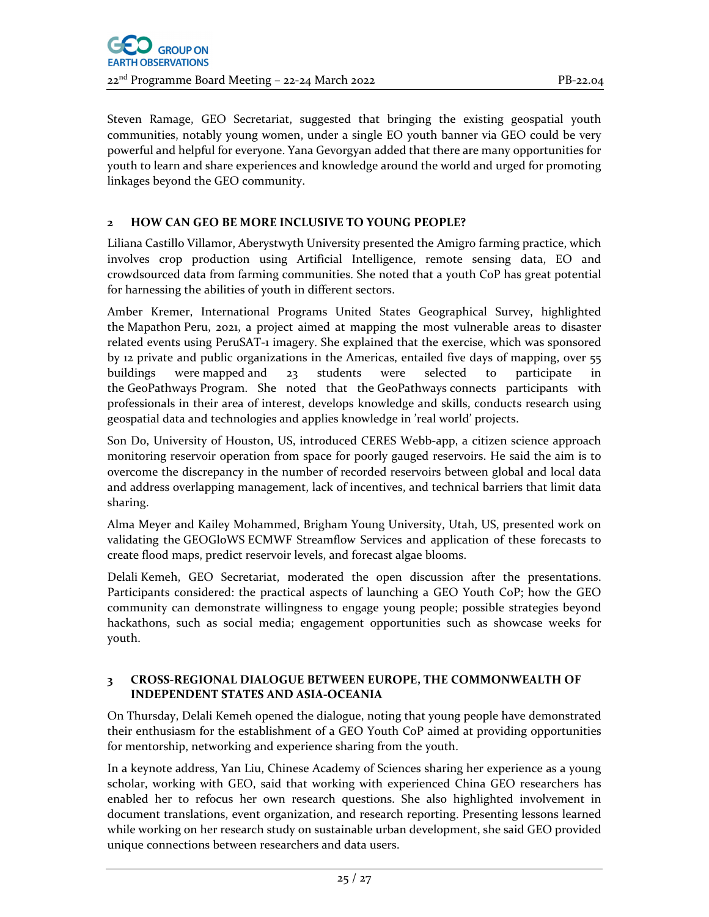Steven Ramage, GEO Secretariat, suggested that bringing the existing geospatial youth communities, notably young women, under a single EO youth banner via GEO could be very powerful and helpful for everyone. Yana Gevorgyan added that there are many opportunities for youth to learn and share experiences and knowledge around the world and urged for promoting linkages beyond the GEO community.

# **2 HOW CAN GEO BE MORE INCLUSIVE TO YOUNG PEOPLE?**

Liliana Castillo Villamor, Aberystwyth University presented the Amigro farming practice, which involves crop production using Artificial Intelligence, remote sensing data, EO and crowdsourced data from farming communities. She noted that a youth CoP has great potential for harnessing the abilities of youth in different sectors.

Amber Kremer, International Programs United States Geographical Survey, highlighted the Mapathon Peru, 2021, a project aimed at mapping the most vulnerable areas to disaster related events using PeruSAT‐1 imagery. She explained that the exercise, which was sponsored by 12 private and public organizations in the Americas, entailed five days of mapping, over 55 buildings were mapped and 23 students were selected to participate in the GeoPathways Program. She noted that the GeoPathways connects participants with professionals in their area of interest, develops knowledge and skills, conducts research using geospatial data and technologies and applies knowledge in 'real world' projects.

Son Do, University of Houston, US, introduced CERES Webb-app, a citizen science approach monitoring reservoir operation from space for poorly gauged reservoirs. He said the aim is to overcome the discrepancy in the number of recorded reservoirs between global and local data and address overlapping management, lack of incentives, and technical barriers that limit data sharing.

Alma Meyer and Kailey Mohammed, Brigham Young University, Utah, US, presented work on validating the GEOGloWS ECMWF Streamflow Services and application of these forecasts to create flood maps, predict reservoir levels, and forecast algae blooms.

Delali Kemeh, GEO Secretariat, moderated the open discussion after the presentations. Participants considered: the practical aspects of launching a GEO Youth CoP; how the GEO community can demonstrate willingness to engage young people; possible strategies beyond hackathons, such as social media; engagement opportunities such as showcase weeks for youth.

#### **3 CROSS‐REGIONAL DIALOGUE BETWEEN EUROPE, THE COMMONWEALTH OF INDEPENDENT STATES AND ASIA‐OCEANIA**

On Thursday, Delali Kemeh opened the dialogue, noting that young people have demonstrated their enthusiasm for the establishment of a GEO Youth CoP aimed at providing opportunities for mentorship, networking and experience sharing from the youth.

In a keynote address, Yan Liu, Chinese Academy of Sciences sharing her experience as a young scholar, working with GEO, said that working with experienced China GEO researchers has enabled her to refocus her own research questions. She also highlighted involvement in document translations, event organization, and research reporting. Presenting lessons learned while working on her research study on sustainable urban development, she said GEO provided unique connections between researchers and data users.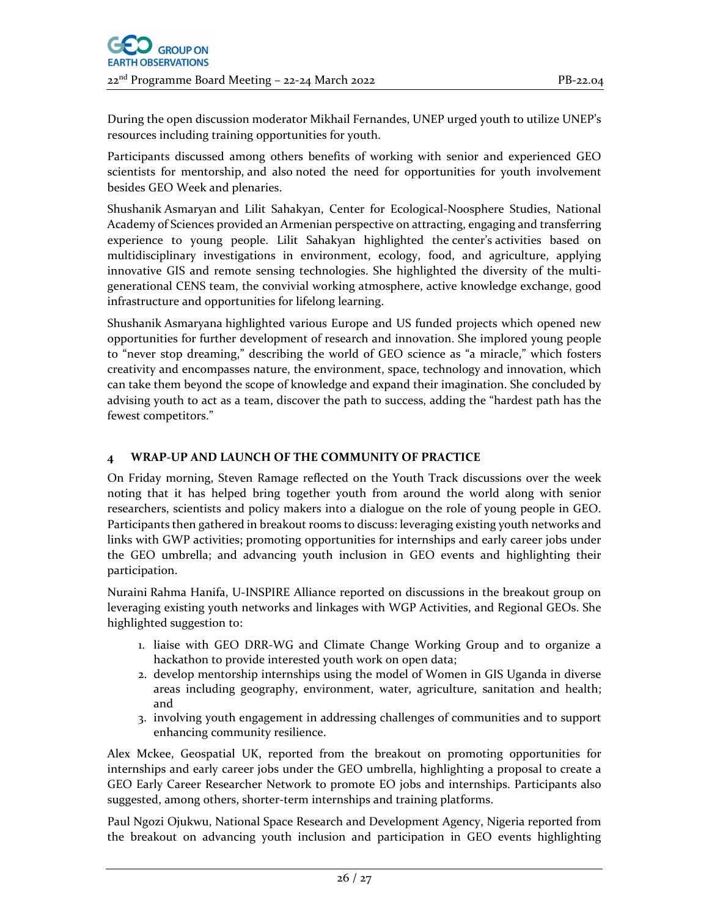During the open discussion moderator Mikhail Fernandes, UNEP urged youth to utilize UNEP's resources including training opportunities for youth.

Participants discussed among others benefits of working with senior and experienced GEO scientists for mentorship, and also noted the need for opportunities for youth involvement besides GEO Week and plenaries.

Shushanik Asmaryan and Lilit Sahakyan, Center for Ecological‐Noosphere Studies, National Academy of Sciences provided an Armenian perspective on attracting, engaging and transferring experience to young people. Lilit Sahakyan highlighted the center's activities based on multidisciplinary investigations in environment, ecology, food, and agriculture, applying innovative GIS and remote sensing technologies. She highlighted the diversity of the multigenerational CENS team, the convivial working atmosphere, active knowledge exchange, good infrastructure and opportunities for lifelong learning.

Shushanik Asmaryana highlighted various Europe and US funded projects which opened new opportunities for further development of research and innovation. She implored young people to "never stop dreaming," describing the world of GEO science as "a miracle," which fosters creativity and encompasses nature, the environment, space, technology and innovation, which can take them beyond the scope of knowledge and expand their imagination. She concluded by advising youth to act as a team, discover the path to success, adding the "hardest path has the fewest competitors."

## **4 WRAP‐UP AND LAUNCH OF THE COMMUNITY OF PRACTICE**

On Friday morning, Steven Ramage reflected on the Youth Track discussions over the week noting that it has helped bring together youth from around the world along with senior researchers, scientists and policy makers into a dialogue on the role of young people in GEO. Participants then gathered in breakout rooms to discuss: leveraging existing youth networks and links with GWP activities; promoting opportunities for internships and early career jobs under the GEO umbrella; and advancing youth inclusion in GEO events and highlighting their participation.

Nuraini Rahma Hanifa, U‐INSPIRE Alliance reported on discussions in the breakout group on leveraging existing youth networks and linkages with WGP Activities, and Regional GEOs. She highlighted suggestion to:

- 1. liaise with GEO DRR‐WG and Climate Change Working Group and to organize a hackathon to provide interested youth work on open data;
- 2. develop mentorship internships using the model of Women in GIS Uganda in diverse areas including geography, environment, water, agriculture, sanitation and health; and
- 3. involving youth engagement in addressing challenges of communities and to support enhancing community resilience.

Alex Mckee, Geospatial UK, reported from the breakout on promoting opportunities for internships and early career jobs under the GEO umbrella, highlighting a proposal to create a GEO Early Career Researcher Network to promote EO jobs and internships. Participants also suggested, among others, shorter-term internships and training platforms.

Paul Ngozi Ojukwu, National Space Research and Development Agency, Nigeria reported from the breakout on advancing youth inclusion and participation in GEO events highlighting